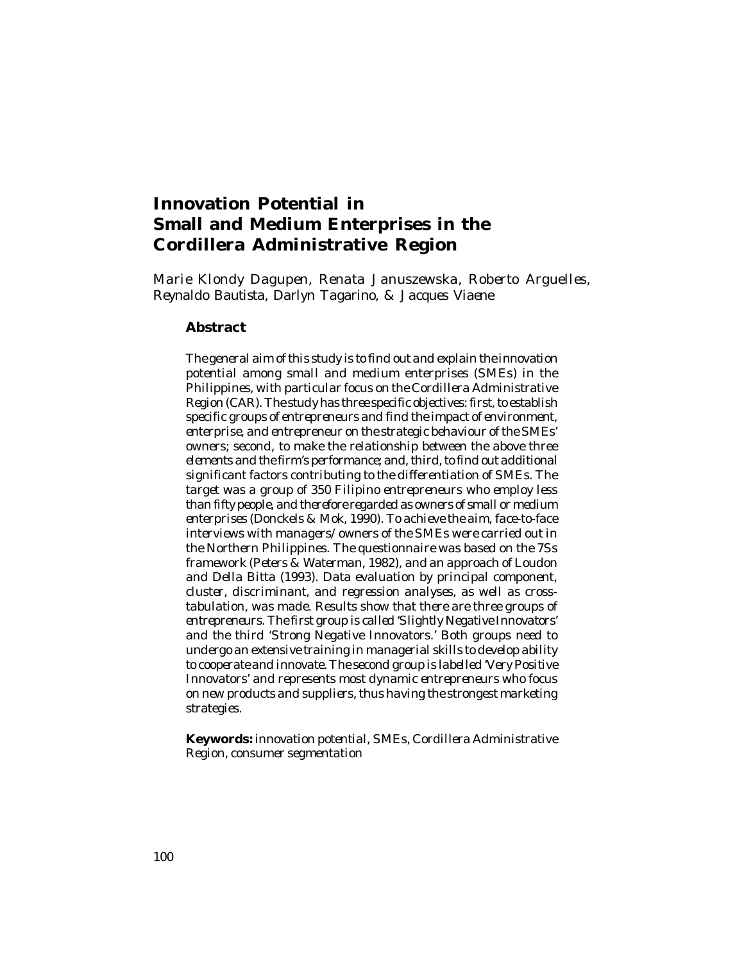# **Innovation Potential in Small and Medium Enterprises in the Cordillera Administrative Region**

*Marie Klondy Dagupen, Renata Januszewska, Roberto Arguelles, Reynaldo Bautista, Darlyn Tagarino, & Jacques Viaene*

#### **Abstract**

*The general aim of this study is to find out and explain the innovation potential among small and medium enterprises (SMEs) in the Philippines, with particular focus on the Cordillera Administrative Region (CAR). The study has three specific objectives: first, to establish specific groups of entrepreneurs and find the impact of environment, enterprise, and entrepreneur on the strategic behaviour of the SMEs' owners; second, to make the relationship between the above three elements and the firm's performance; and, third, to find out additional significant factors contributing to the differentiation of SMEs. The target was a group of 350 Filipino entrepreneurs who employ less than fifty people, and therefore regarded as owners of small or medium enterprises (Donckels & Mok, 1990). To achieve the aim, face-to-face interviews with managers/owners of the SMEs were carried out in the Northern Philippines. The questionnaire was based on the 7Ss framework (Peters & Waterman, 1982), and an approach of Loudon and Della Bitta (1993). Data evaluation by principal component, cluster, discriminant, and regression analyses, as well as crosstabulation, was made. Results show that there are three groups of entrepreneurs. The first group is called 'Slightly Negative Innovators' and the third 'Strong Negative Innovators.' Both groups need to undergo an extensive training in managerial skills to develop ability to cooperate and innovate. The second group is labelled 'Very Positive Innovators' and represents most dynamic entrepreneurs who focus on new products and suppliers, thus having the strongest marketing strategies.*

**Keywords:** *innovation potential, SMEs, Cordillera Administrative Region, consumer segmentation*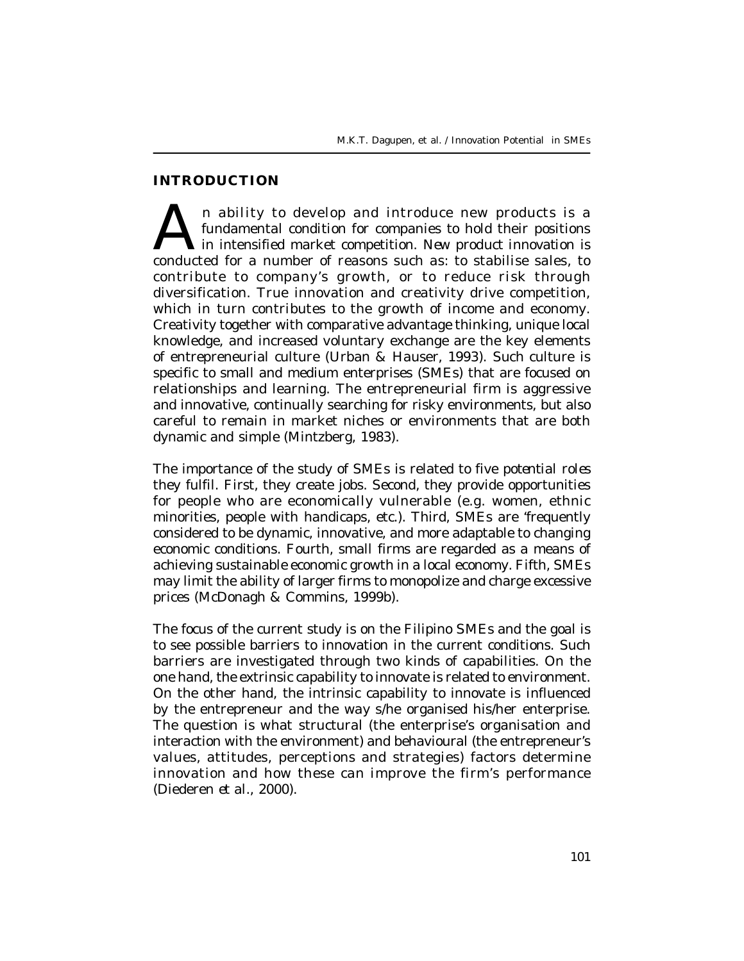## **INTRODUCTION**

A n ability to develop and introduce new products is a fundamental condition for companies to hold their positions in intensified market competition. New product innovation is conducted for a number of reasons such as: to n ability to develop and introduce new products is a fundamental condition for companies to hold their positions in intensified market competition. *New product innovation* is contribute to company's growth, or to reduce risk through diversification. True innovation and creativity drive competition, which in turn contributes to the growth of income and economy. Creativity together with comparative advantage thinking, unique local knowledge, and increased voluntary exchange are the key elements of entrepreneurial culture (Urban & Hauser, 1993). Such culture is specific to small and medium enterprises (SMEs) that are focused on relationships and learning. The entrepreneurial firm is aggressive and innovative, continually searching for risky environments, but also careful to remain in market niches or environments that are both dynamic and simple (Mintzberg, 1983).

The importance of the study of SMEs is related to five *potential roles* they fulfil. First, they create jobs. Second, they provide opportunities for people who are economically vulnerable (e.g. women, ethnic minorities, people with handicaps, etc.). Third, SMEs are 'frequently considered to be dynamic, innovative, and more adaptable to changing economic conditions. Fourth, small firms are regarded as a means of achieving sustainable economic growth in a local economy. Fifth, SMEs may limit the ability of larger firms to monopolize and charge excessive prices (McDonagh & Commins, 1999b).

The focus of the current study is on the Filipino *SMEs* and the goal is to see possible barriers to innovation in the current conditions. Such barriers are investigated through two kinds of capabilities. On the one hand, the extrinsic capability to innovate is related to environment. On the other hand, the intrinsic capability to innovate is influenced by the entrepreneur and the way s/he organised his/her enterprise. The question is what structural (the enterprise's organisation and interaction with the environment) and behavioural (the entrepreneur's values, attitudes, perceptions and strategies) factors determine innovation and how these can improve the firm's performance (Diederen *et al.,* 2000).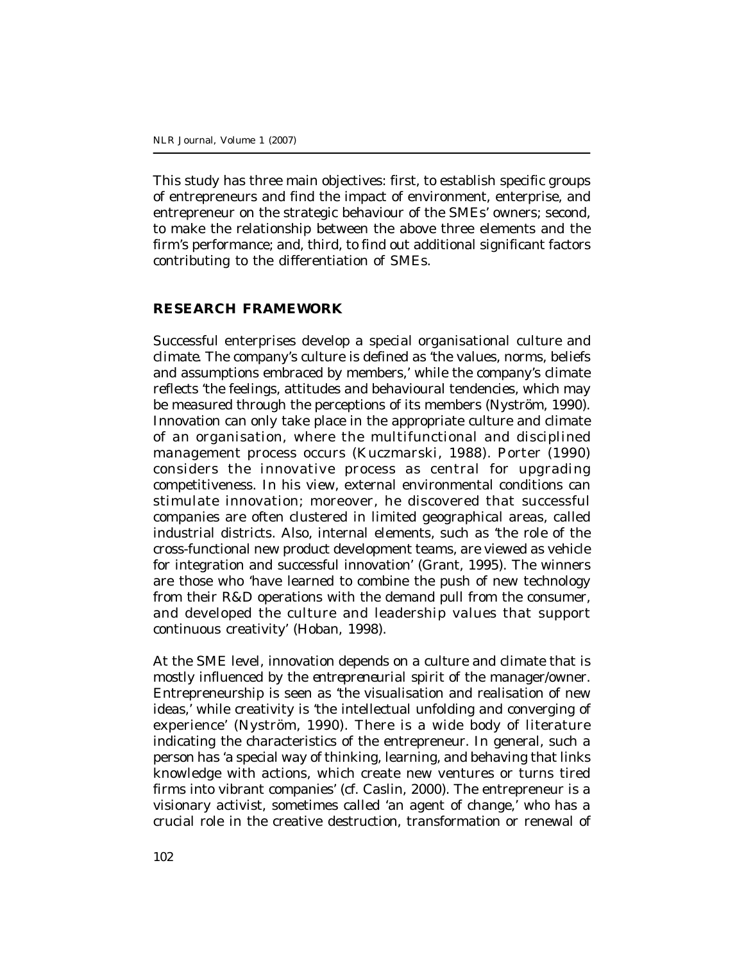This study has three main objectives: first, to establish specific groups of entrepreneurs and find the impact of environment, enterprise, and entrepreneur on the strategic behaviour of the SMEs' owners; second, to make the relationship between the above three elements and the firm's performance; and, third, to find out additional significant factors contributing to the differentiation of SMEs.

### **RESEARCH FRAMEWORK**

Successful enterprises develop a special organisational *culture* and *climate.* The company's culture is defined as 'the values, norms, beliefs and assumptions embraced by members,' while the company's climate reflects 'the feelings, attitudes and behavioural tendencies, which may be measured through the perceptions of its members (Nyström, 1990). *Innovation* can only take place in the appropriate culture and climate of an organisation, where the multifunctional and disciplined management process occurs (Kuczmarski, 1988). Porter (1990) considers the innovative process as central for upgrading competitiveness. In his view, external environmental conditions can stimulate innovation; moreover, he discovered that successful companies are often clustered in limited geographical areas, called industrial districts. Also, internal elements, such as 'the role of the cross-functional new product development teams, are viewed as vehicle for integration and successful innovation' (Grant, 1995). The winners are those who 'have learned to combine the push of new technology from their R&D operations with the demand pull from the consumer, and developed the culture and leadership values that support continuous creativity' (Hoban, 1998).

At the SME level, innovation depends on a culture and climate that is mostly influenced by the *entrepreneurial spirit* of the manager/owner. Entrepreneurship is seen as 'the visualisation and realisation of new ideas,' while creativity is 'the intellectual unfolding and converging of experience' (Nyström, 1990). There is a wide body of literature indicating the characteristics of the entrepreneur. In general, such a person has 'a special way of thinking, learning, and behaving that links knowledge with actions, which create new ventures or turns tired firms into vibrant companies' (cf. Caslin, 2000). The entrepreneur is a visionary activist, sometimes called 'an agent of change,' who has a crucial role in the creative destruction, transformation or renewal of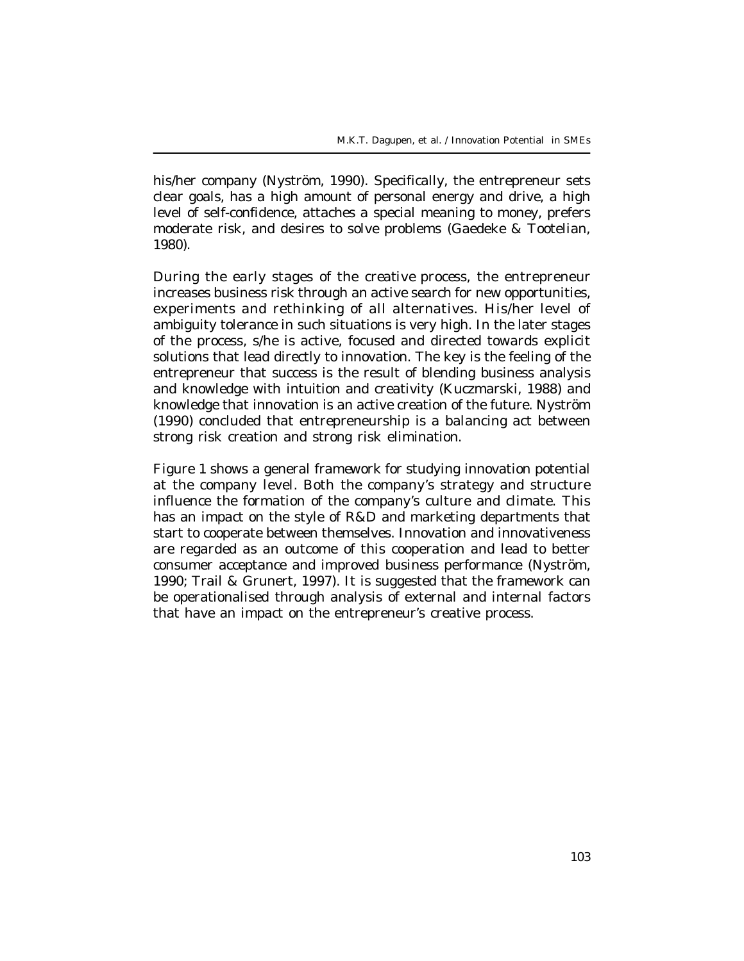his/her company (Nyström, 1990). Specifically, the entrepreneur sets clear goals, has a high amount of personal energy and drive, a high level of self-confidence, attaches a special meaning to money, prefers moderate risk, and desires to solve problems (Gaedeke & Tootelian, 1980).

During the early stages of the *creative process*, the entrepreneur increases business risk through an active search for new opportunities, experiments and rethinking of all alternatives. His/her level of ambiguity tolerance in such situations is very high. In the later stages of the process, s/he is active, focused and directed towards explicit solutions that lead directly to innovation. The key is the feeling of the entrepreneur that success is the result of blending business analysis and knowledge with intuition and creativity (Kuczmarski, 1988) and knowledge that innovation is an active creation of the future. Nyström (1990) concluded that entrepreneurship is a balancing act between strong risk creation and strong risk elimination.

Figure 1 shows a general *framework* for studying innovation potential at the company level. Both the company's strategy and structure influence the formation of the company's culture and climate. This has an impact on the style of R&D and marketing departments that start to cooperate between themselves. Innovation and innovativeness are regarded as an outcome of this cooperation and lead to better consumer acceptance and improved business performance (Nyström, 1990; Trail & Grunert, 1997). It is suggested that the framework can be operationalised through analysis of external and internal factors that have an impact on the entrepreneur's creative process.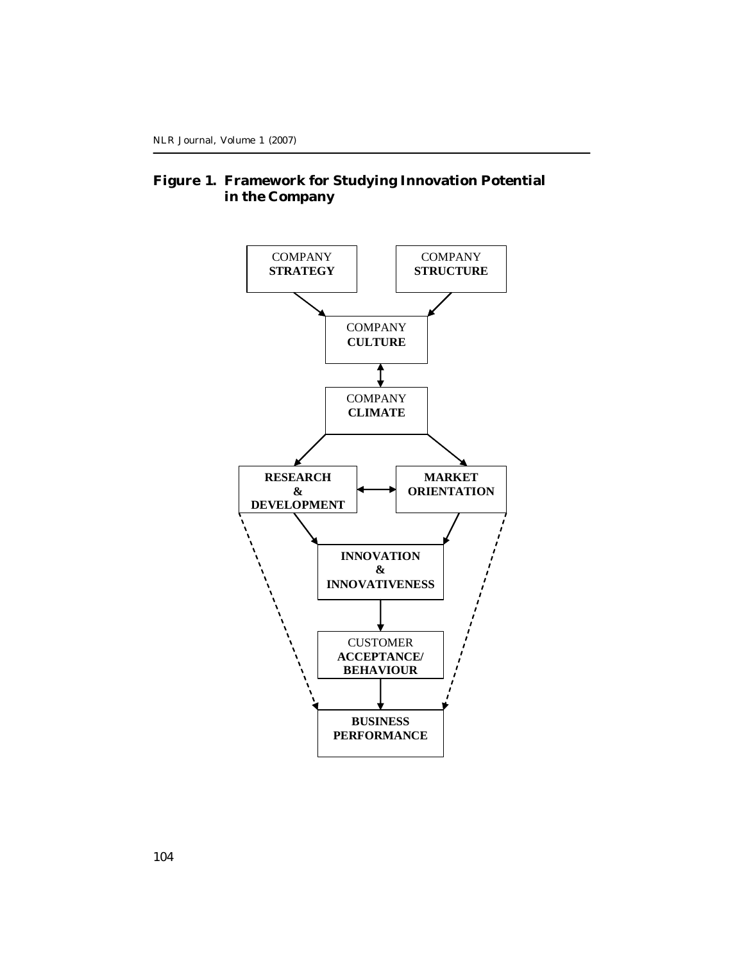### **Figure 1. Framework for Studying Innovation Potential in the Company**

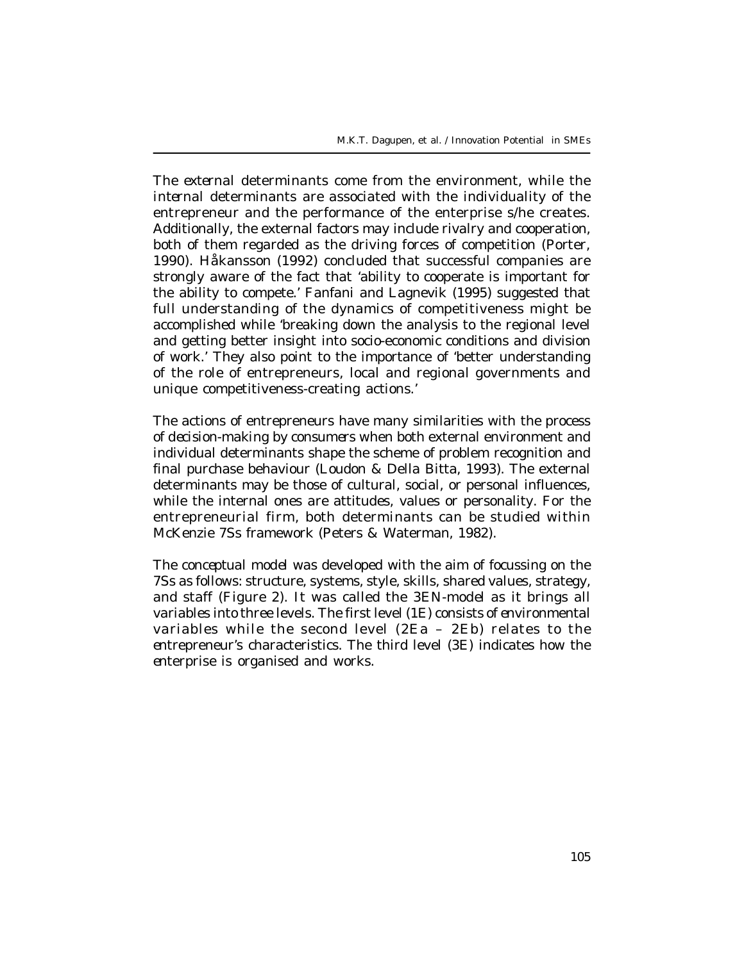The *external* determinants come from the environment, while the *internal* determinants are associated with the individuality of the entrepreneur and the performance of the enterprise s/he creates. Additionally, the external factors may include rivalry and cooperation, both of them regarded as the driving forces of competition (Porter, 1990). Håkansson (1992) concluded that successful companies are strongly aware of the fact that 'ability to cooperate is important for the ability to compete.' Fanfani and Lagnevik (1995) suggested that full understanding of the dynamics of competitiveness might be accomplished while 'breaking down the analysis to the regional level and getting better insight into socio-economic conditions and division of work.' They also point to the importance of 'better understanding of the role of entrepreneurs, local and regional governments and unique competitiveness-creating actions.'

The actions of entrepreneurs have many similarities with the process of *decision-making by consumers* when both external environment and individual determinants shape the scheme of problem recognition and final purchase behaviour (Loudon & Della Bitta, 1993). The external determinants may be those of cultural, social, or personal influences, while the internal ones are attitudes, values or personality. For the entrepreneurial firm, both determinants can be studied within McKenzie 7Ss framework (Peters & Waterman, 1982).

The *conceptual model* was developed with the aim of focussing on the 7Ss as follows: structure, systems, style, skills, shared values, strategy, and staff (Figure 2). It was called the *3EN-model* as it brings all variables into three levels. The first level (*1E)* consists of *en*vironmental variables while the second level (*2Ea* – *2Eb)* relates to the *en*trepreneur's characteristics. The third level *(3E)* indicates how the *en*terprise is organised and works.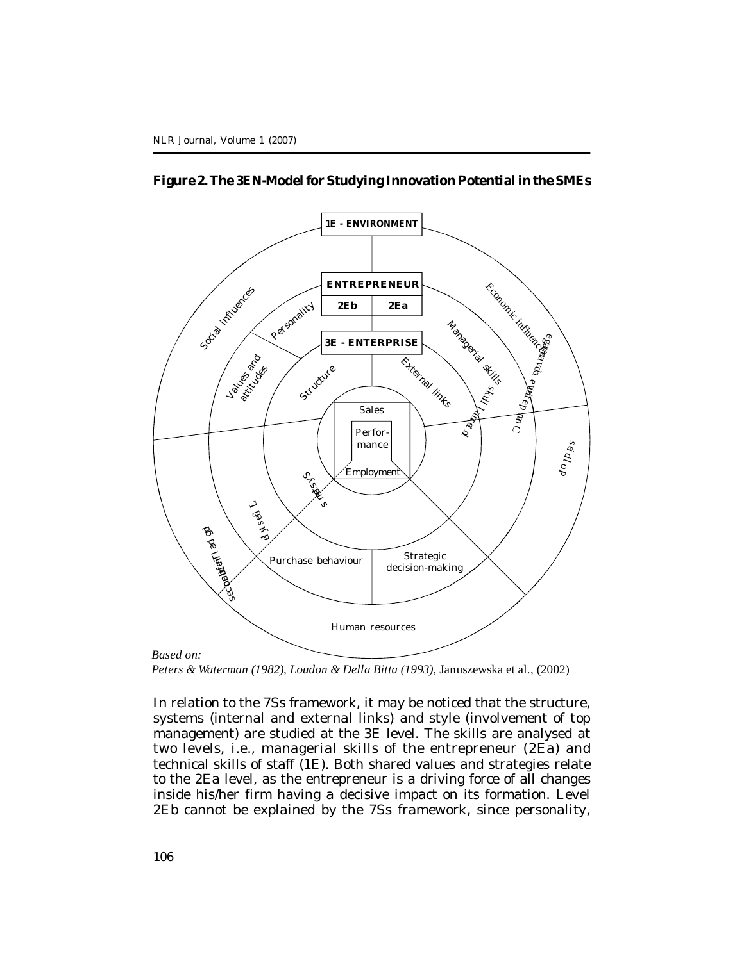



*Peters & Waterman (1982), Loudon & Della Bitta (1993),* Januszewska et al., (2002)

In relation to the 7Ss framework, it may be noticed that the structure, systems (internal and external links) and style (involvement of top management) are studied at the *3E* level. The skills are analysed at two levels, i.e., managerial skills of the entrepreneur (*2Ea*) and technical skills of staff (*1E*). Both shared values and strategies relate to the *2Ea* level, as the entrepreneur is a driving force of all changes inside his/her firm having a decisive impact on its formation. Level *2Eb* cannot be explained by the 7Ss framework, since personality,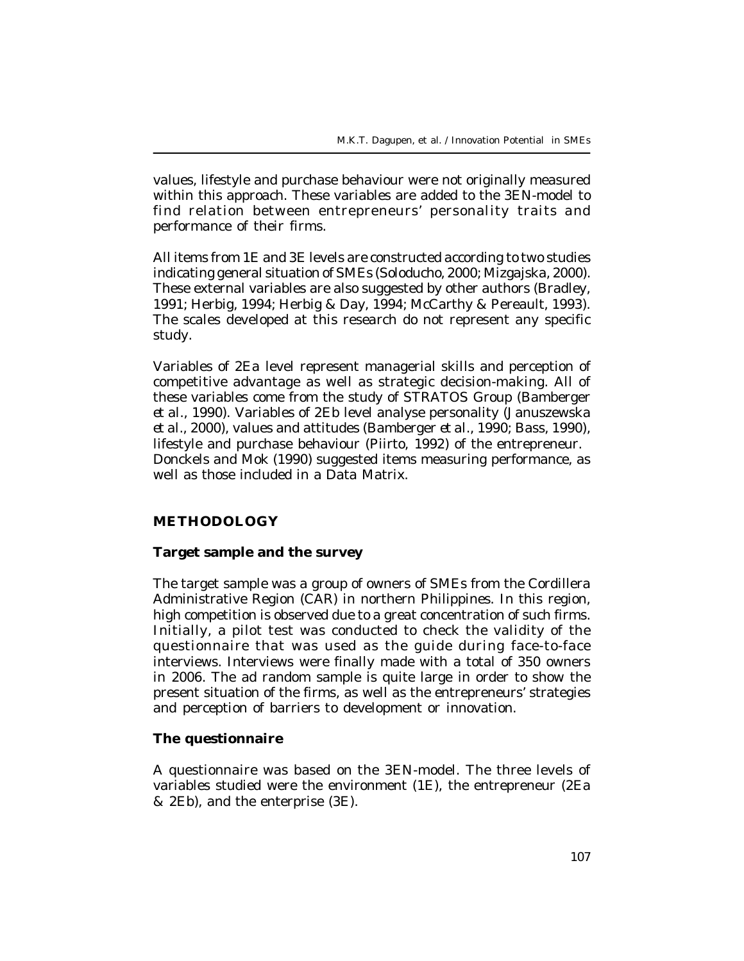values, lifestyle and purchase behaviour were not originally measured within this approach. These variables are added to the 3EN-model to find relation between entrepreneurs' personality traits and performance of their firms.

All items from *1E* and *3E* levels are constructed according to two studies indicating general situation of SMEs (Soloducho, 2000; Mizgajska, 2000). These external variables are also suggested by other authors (Bradley, 1991; Herbig, 1994; Herbig & Day, 1994; McCarthy & Pereault, 1993). The scales developed at this research do not represent any specific study.

Variables of *2Ea* level represent managerial skills and perception of competitive advantage as well as strategic decision-making. All of these variables come from the study of STRATOS Group (Bamberger *et al.,* 1990). Variables of *2Eb* level analyse personality (Januszewska *et al.,* 2000), values and attitudes (Bamberger *et al.,* 1990; Bass, 1990), lifestyle and purchase behaviour (Piirto, 1992) of the entrepreneur. Donckels and Mok (1990) suggested items measuring performance, as well as those included in a Data Matrix.

### **METHODOLOGY**

#### **Target sample and the survey**

The target sample was a group of owners of SMEs from the Cordillera Administrative Region (CAR) in northern Philippines. In this region, high competition is observed due to a great concentration of such firms. Initially, a pilot test was conducted to check the validity of the questionnaire that was used as the guide during face-to-face interviews. Interviews were finally made with a total of 350 owners in 2006. The ad random sample is quite large in order to show the present situation of the firms, as well as the entrepreneurs' strategies and perception of barriers to development or innovation.

#### **The questionnaire**

A questionnaire was based on the 3EN-model. The three levels of variables studied were the environment (*1E*), the entrepreneur (*2Ea & 2Eb*), and the enterprise (*3E*).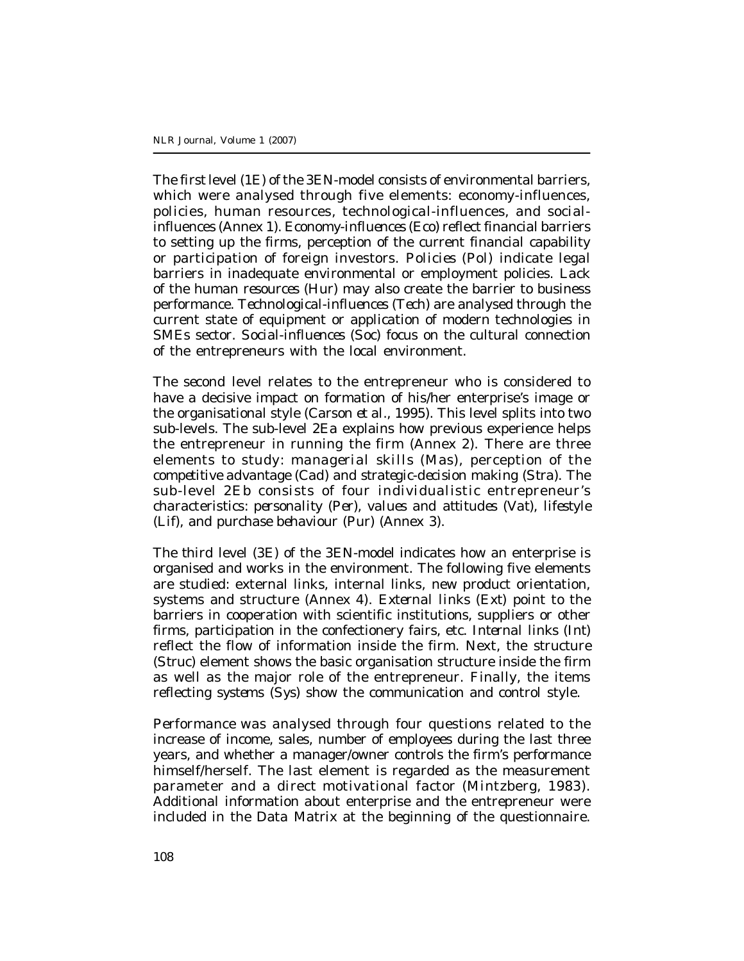The *first* level (*1E*) of the 3EN-model consists of environmental barriers, which were analysed through five elements: economy-influences, policies, human resources, technological-influences, and socialinfluences (Annex 1). *Economy-influences (Eco)* reflect financial barriers to setting up the firms, perception of the current financial capability or participation of foreign investors. *Policies (Pol)* indicate legal barriers in inadequate environmental or employment policies. Lack of the *human resources (Hur)* may also create the barrier to business performance. *Technological-influences (Tech)* are analysed through the current state of equipment or application of modern technologies in SMEs sector. *Social-influences (Soc)* focus on the cultural connection of the entrepreneurs with the local environment.

The *second* level relates to the entrepreneur who is considered to have a decisive impact on formation of his/her enterprise's image or the organisational style (Carson *et al.,* 1995). This level splits into two sub-levels. The sub-level *2Ea* explains how previous experience helps the entrepreneur in running the firm (Annex 2). There are three elements to study: *managerial skills (Mas)*, perception of the *competitive advantage (Cad)* and *strategic-decision making (Stra).* The sub-level *2Eb* consists of four individualistic entrepreneur's characteristics: *personality (Per)*, *values and attitudes (Vat)*, *lifestyle (Lif)*, and *purchase behaviour (Pur)* (Annex 3).

The *third* level (*3E*) of the 3EN-model indicates how an enterprise is organised and works in the environment. The following five elements are studied: external links, internal links, new product orientation, systems and structure (Annex 4). *External links (Ext)* point to the barriers in cooperation with scientific institutions, suppliers or other firms, participation in the confectionery fairs, etc. *Internal links (Int)* reflect the flow of information inside the firm. Next, the *structure (Struc)* element shows the basic organisation structure inside the firm as well as the major role of the entrepreneur. Finally, the items reflecting *systems (Sys)* show the communication and control style.

*Performance* was analysed through four questions related to the increase of income, sales, number of employees during the last three years, and whether a manager/owner controls the firm's performance himself/herself. The last element is regarded as the measurement parameter and a direct motivational factor (Mintzberg, 1983). Additional information about enterprise and the entrepreneur were included in the Data Matrix at the beginning of the questionnaire.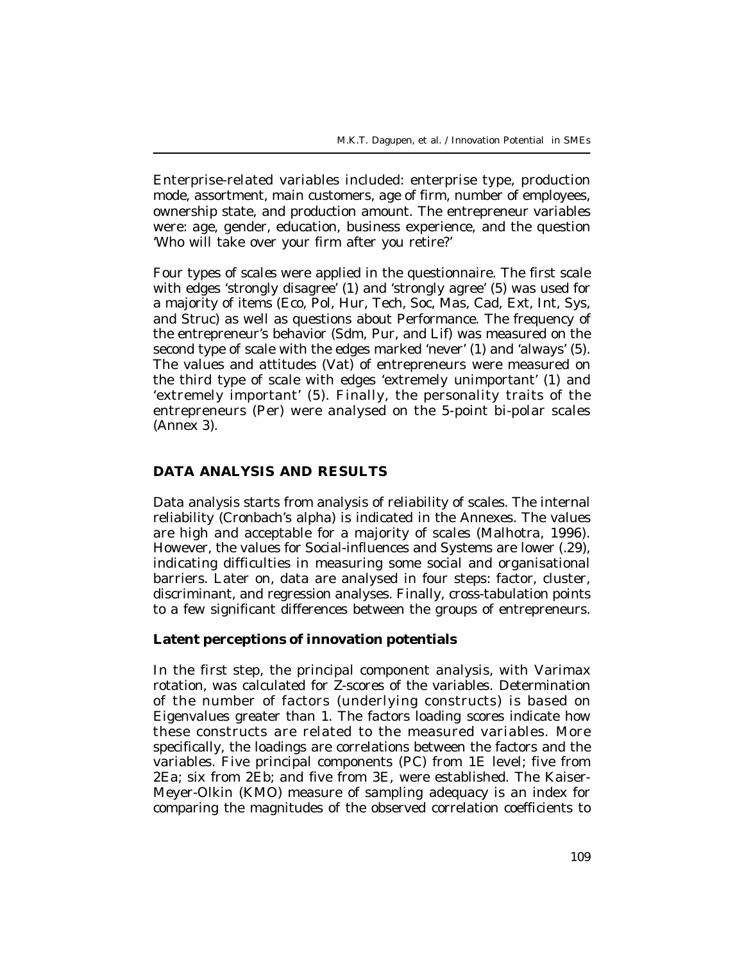Enterprise-related variables included: enterprise type, production mode, assortment, main customers, age of firm, number of employees, ownership state, and production amount. The entrepreneur variables were: age, gender, education, business experience, and the question 'Who will take over your firm after you retire?'

Four types of *scales* were applied in the questionnaire. The first scale with edges 'strongly disagree' (1) and 'strongly agree' (5) was used for a majority of items (Eco, Pol, Hur, Tech, Soc, Mas, Cad, Ext, Int, Sys, and Struc) as well as questions about Performance. The frequency of the entrepreneur's behavior (Sdm, Pur, and Lif) was measured on the second type of scale with the edges marked 'never' (1) and 'always' (5). The values and attitudes (Vat) of entrepreneurs were measured on the third type of scale with edges 'extremely unimportant' (1) and 'extremely important' (5). Finally, the personality traits of the entrepreneurs (Per) were analysed on the 5-point bi-polar scales (Annex 3).

#### **DATA ANALYSIS AND RESULTS**

Data analysis starts from analysis of reliability of scales. The internal reliability (Cronbach's alpha) is indicated in the Annexes. The values are high and acceptable for a majority of scales (Malhotra, 1996). However, the values for Social-influences and Systems are lower (.29), indicating difficulties in measuring some social and organisational barriers. Later on, data are analysed in four steps: factor, cluster, discriminant, and regression analyses. Finally, cross-tabulation points to a few significant differences between the groups of entrepreneurs.

### **Latent perceptions of innovation potentials**

In the *first* step, the principal component analysis, with Varimax rotation, was calculated for Z-scores of the variables. Determination of the number of factors (underlying constructs) is based on Eigenvalues greater than 1. The factors loading scores indicate how these constructs are related to the measured variables. More specifically, the loadings are correlations between the factors and the variables. Five principal components (PC) from *1E* level; five from *2Ea*; six from *2Eb*; and five from *3E,* were established. The Kaiser-Meyer-Olkin (KMO) measure of sampling adequacy is an index for comparing the magnitudes of the observed correlation coefficients to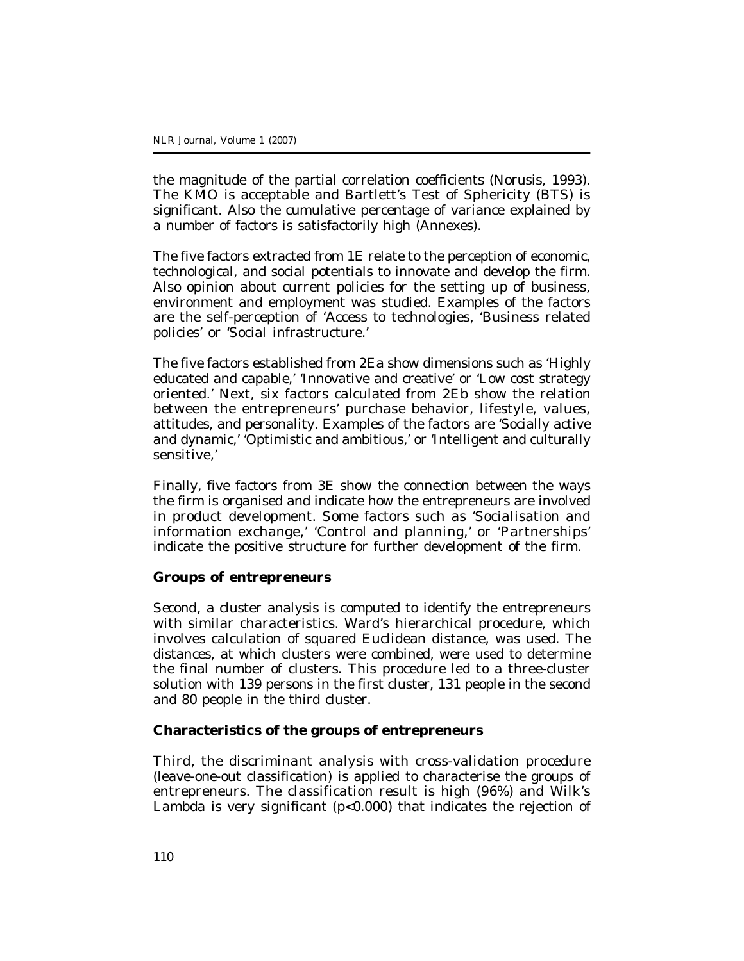the magnitude of the partial correlation coefficients (Norusis, 1993). The KMO is acceptable and Bartlett's Test of Sphericity (BTS) is significant. Also the cumulative percentage of variance explained by a number of factors is satisfactorily high (Annexes).

The five factors extracted from *1E* relate to the perception of economic, technological, and social potentials to innovate and develop the firm. Also opinion about current policies for the setting up of business, environment and employment was studied. Examples of the factors are the self-perception of 'Access to technologies, 'Business related policies' or 'Social infrastructure.'

The five factors established from *2Ea* show dimensions such as 'Highly educated and capable,' 'Innovative and creative' or 'Low cost strategy oriented.' Next, six factors calculated from *2Eb* show the relation between the entrepreneurs' purchase behavior, lifestyle, values, attitudes, and personality. Examples of the factors are 'Socially active and dynamic,' 'Optimistic and ambitious,' or 'Intelligent and culturally sensitive,'

Finally, five factors from *3E* show the connection between the ways the firm is organised and indicate how the entrepreneurs are involved in product development. Some factors such as 'Socialisation and information exchange,' 'Control and planning,' or 'Partnerships' indicate the positive structure for further development of the firm.

#### **Groups of entrepreneurs**

*Second,* a cluster analysis is computed to identify the entrepreneurs with similar characteristics. Ward's hierarchical procedure, which involves calculation of squared Euclidean distance, was used. The distances, at which clusters were combined, were used to determine the final number of clusters. This procedure led to a three-cluster solution with 139 persons in the first cluster, 131 people in the second and 80 people in the third cluster.

### **Characteristics of the groups of entrepreneurs**

*Third,* the discriminant analysis with cross-validation procedure (leave-one-out classification) is applied to characterise the groups of entrepreneurs. The classification result is high (96%) and Wilk's Lambda is very significant (p<0.000) that indicates the rejection of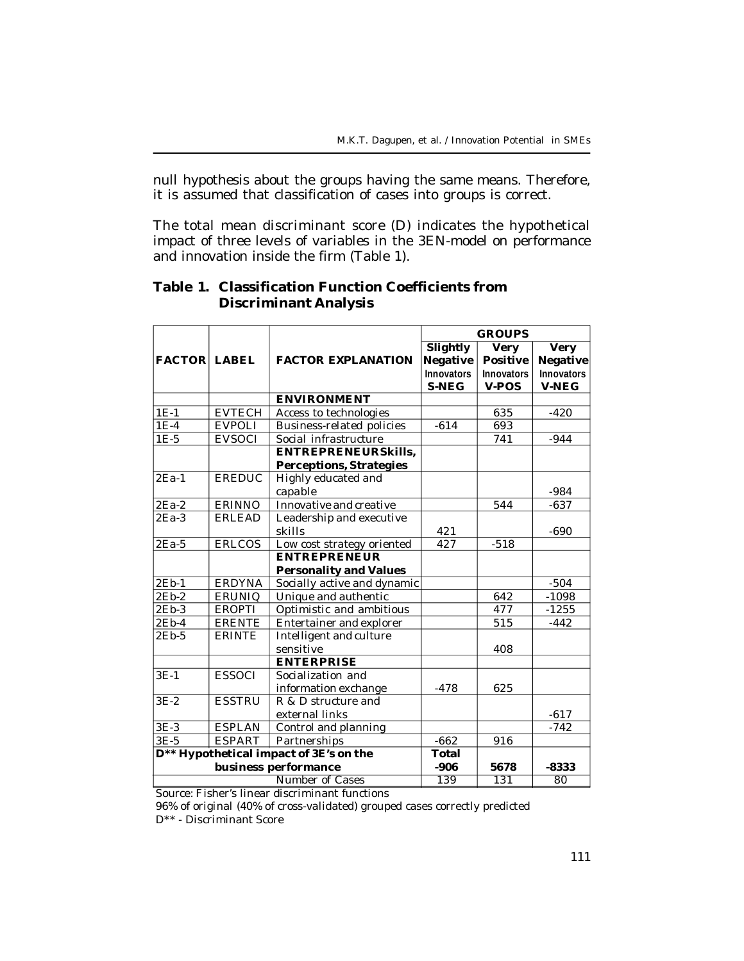null hypothesis about the groups having the same means. Therefore, it is assumed that classification of cases into groups is correct.

The total mean discriminant score (D) indicates the hypothetical impact of three levels of variables in the 3EN-model on performance and innovation inside the firm (Table 1).

|                     |               |                                        | <b>GROUPS</b>     |                   |                   |
|---------------------|---------------|----------------------------------------|-------------------|-------------------|-------------------|
|                     |               |                                        | <b>Slightly</b>   | <b>Very</b>       | <b>Very</b>       |
| <b>FACTOR LABEL</b> |               | <b>FACTOR EXPLANATION</b>              | Negative          | <b>Positive</b>   | Negative          |
|                     |               |                                        | <b>Innovators</b> | <b>Innovators</b> | <b>Innovators</b> |
|                     |               |                                        | <b>S-NEG</b>      | V-POS             | <b>V-NEG</b>      |
|                     |               | <b>ENVIRONMENT</b>                     |                   |                   |                   |
| $1E-1$              | <b>EVTECH</b> | Access to technologies                 |                   | 635               | $-420$            |
| $1E-4$              | <b>EVPOLI</b> | <b>Business-related policies</b>       | $-614$            | 693               |                   |
| $1E-5$              | <b>EVSOCI</b> | Social infrastructure                  |                   | 741               | $-944$            |
|                     |               | <b>ENTREPRENEURSkills,</b>             |                   |                   |                   |
|                     |               | <b>Perceptions, Strategies</b>         |                   |                   |                   |
| $2Ea-1$             | EREDUC        | Highly educated and                    |                   |                   |                   |
|                     |               | capable                                |                   |                   | -984              |
| $2Ea-2$             | ERINNO        | Innovative and creative                |                   | 544               | $-637$            |
| $2Ea-3$             | <b>ERLEAD</b> | Leadership and executive               |                   |                   |                   |
|                     |               | skills                                 | 421               |                   | $-690$            |
| $2Ea-5$             | <b>ERLCOS</b> | Low cost strategy oriented             | 427               | $-518$            |                   |
|                     |               | <b>ENTREPRENEUR</b>                    |                   |                   |                   |
|                     |               | <b>Personality and Values</b>          |                   |                   |                   |
| 2Eb-1               | <b>ERDYNA</b> | Socially active and dynamic            |                   |                   | $-504$            |
| $2Eb-2$             | <b>ERUNIQ</b> | Unique and authentic                   |                   | 642               | $-1098$           |
| $2Eb-3$             | <b>EROPTI</b> | Optimistic and ambitious               |                   | 477               | $-1255$           |
| $2Eb-4$             | <b>ERENTE</b> | Entertainer and explorer               |                   | 515               | $-442$            |
| $2Eb-5$             | <b>ERINTE</b> | Intelligent and culture                |                   |                   |                   |
|                     |               | sensitive                              |                   | 408               |                   |
|                     |               | <b>ENTERPRISE</b>                      |                   |                   |                   |
| $3E-1$              | <b>ESSOCI</b> | Socialization and                      |                   |                   |                   |
|                     |               | information exchange                   | $-478$            | 625               |                   |
| $3E-2$              | <b>ESSTRU</b> | R & D structure and                    |                   |                   |                   |
|                     |               | external links                         |                   |                   | $-617$            |
| $3E-3$              | <b>ESPLAN</b> | Control and planning                   |                   |                   | $-742$            |
| $3E-5$              | <b>ESPART</b> | Partnerships                           | $-662$            | 916               |                   |
|                     |               | D** Hypothetical impact of 3E's on the | <b>Total</b>      |                   |                   |
|                     |               | business performance                   | $-906$            | 5678              | $-8333$           |
|                     |               | Number of Cases                        | 139               | 131               | 80                |

# **Table 1. Classification Function Coefficients from Discriminant Analysis**

Source: Fisher's linear discriminant functions

96% of original (40% of cross-validated) grouped cases correctly predicted D\*\* - Discriminant Score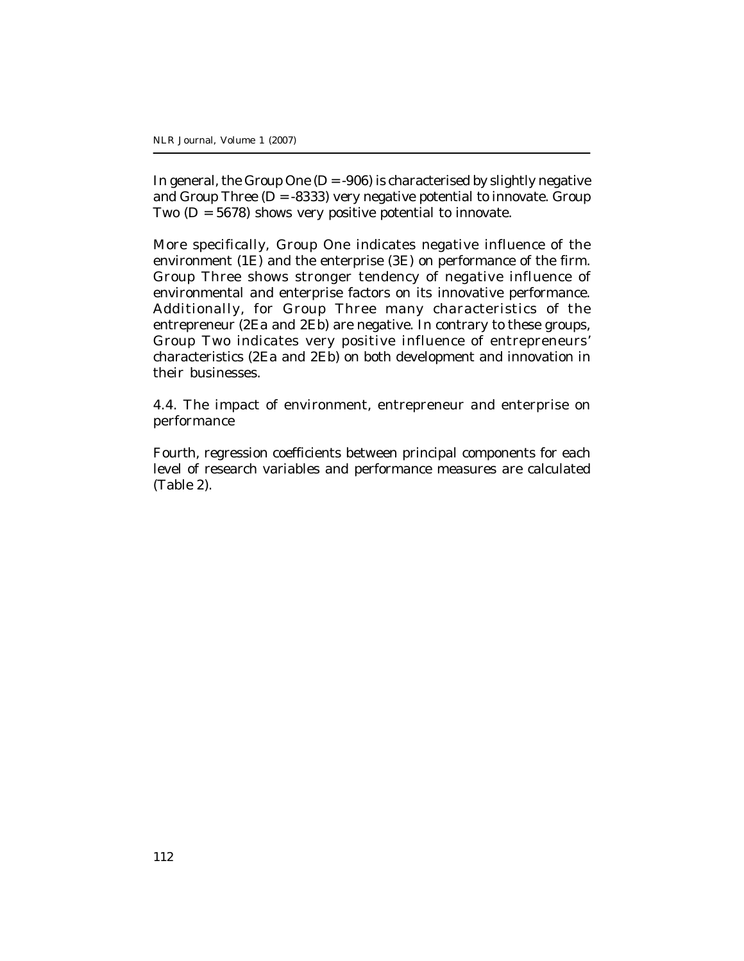In general, the Group One ( $D = -906$ ) is characterised by slightly negative and Group Three  $(D = -8333)$  very negative potential to innovate. Group Two  $(D = 5678)$  shows very positive potential to innovate.

More specifically, Group One indicates negative influence of the environment *(1E)* and the enterprise (*3E*) on performance of the firm. Group Three shows stronger tendency of negative influence of environmental and enterprise factors on its innovative performance. Additionally, for Group Three many characteristics of the entrepreneur (*2Ea and 2Eb*) are negative. In contrary to these groups, Group Two indicates very positive influence of entrepreneurs' characteristics (*2Ea and 2Eb*) on both development and innovation in their businesses.

4.4. The impact of environment, entrepreneur and enterprise on performance

*Fourth,* regression coefficients between principal components for each level of research variables and performance measures are calculated (Table 2).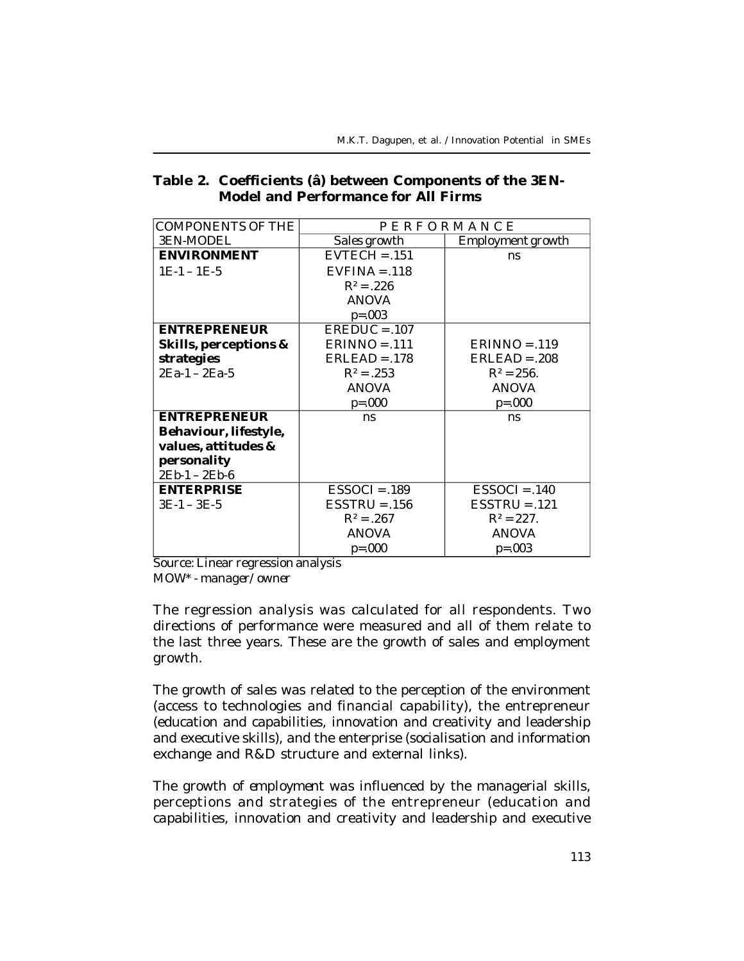| Table 2. Coefficients (â) between Components of the 3EN- |
|----------------------------------------------------------|
| <b>Model and Performance for All Firms</b>               |

| COMPONENTS OF THE     | PERFORMANCE     |                   |  |  |
|-----------------------|-----------------|-------------------|--|--|
| 3EN-MODEL             | Sales growth    | Employment growth |  |  |
| <b>ENVIRONMENT</b>    | $EVTECH = .151$ | ns                |  |  |
| $1E-1-1E-5$           | $EVFINA = .118$ |                   |  |  |
|                       | $R^2 = .226$    |                   |  |  |
|                       | <b>ANOVA</b>    |                   |  |  |
|                       | $p=.003$        |                   |  |  |
| <b>ENTREPRENEUR</b>   | $EREDUC = .107$ |                   |  |  |
| Skills, perceptions & | $ERINNO = .111$ | $ERINNO = .119$   |  |  |
| strategies            | $ERLEAD = .178$ | $ERLEAD = .208$   |  |  |
| 2Ea-1 - 2Ea-5         | $R^2 = .253$    | $R^2 = 256$ .     |  |  |
|                       | <i>ANOVA</i>    | <b>ANOVA</b>      |  |  |
|                       | $p = .000$      | $p = 000$         |  |  |
| <b>ENTREPRENEUR</b>   | ns.             | ns                |  |  |
| Behaviour, lifestyle, |                 |                   |  |  |
| values, attitudes &   |                 |                   |  |  |
| personality           |                 |                   |  |  |
| $2Eb-1-2Eb-6$         |                 |                   |  |  |
| <b>ENTERPRISE</b>     | $ESSOCI = .189$ | $ESSOCI = .140$   |  |  |
| $3E-1-3E-5$           | $ESTRU = .156$  | $ESTRU = .121$    |  |  |
|                       | $R^2 = .267$    | $R^2 = 227$ .     |  |  |
|                       | <i>ANOVA</i>    | <b>ANOVA</b>      |  |  |
|                       | $p = .000$      | $p = .003$        |  |  |

Source: Linear regression analysis

*MOW\* - manager/owner*

The regression analysis was calculated for all respondents. Two directions of performance were measured and all of them relate to the last three years. These are the growth of sales and employment growth.

The growth of *sales* was related to the perception of the environment (access to technologies and financial capability), the entrepreneur (education and capabilities, innovation and creativity and leadership and executive skills), and the enterprise (socialisation and information exchange and R&D structure and external links).

The growth of *employment* was influenced by the managerial skills, perceptions and strategies of the entrepreneur (education and capabilities, innovation and creativity and leadership and executive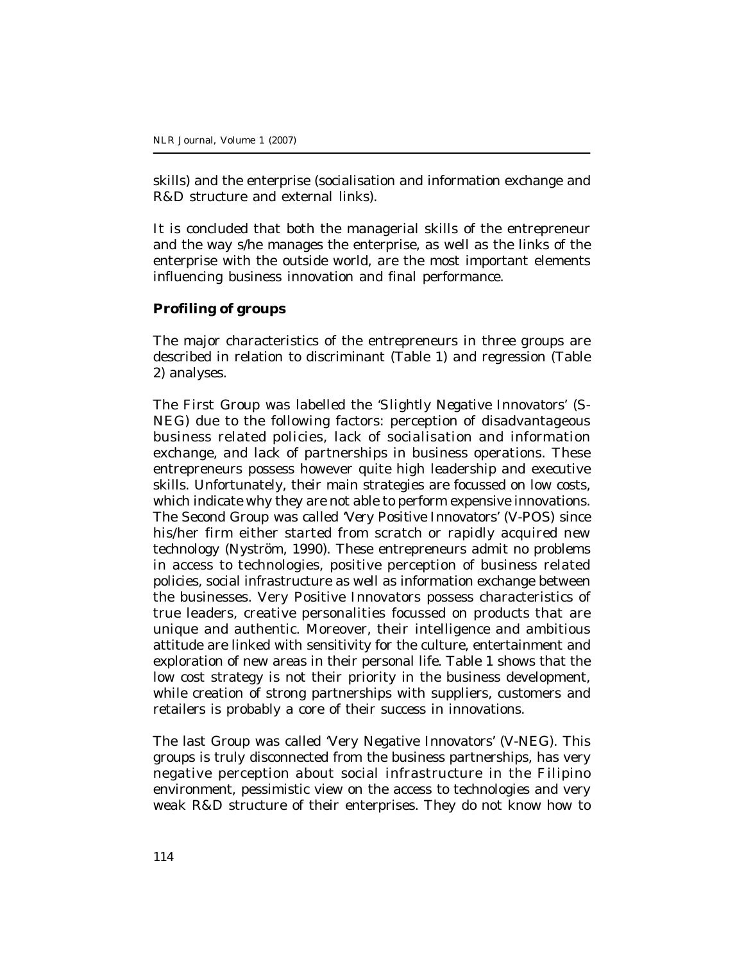skills) and the enterprise (socialisation and information exchange and R&D structure and external links).

It is concluded that both the managerial skills of the entrepreneur and the way s/he manages the enterprise, as well as the links of the enterprise with the outside world, are the most important elements influencing business innovation and final performance.

### **Profiling of groups**

The major characteristics of the entrepreneurs in three groups are described in relation to discriminant (Table 1) and regression (Table 2) analyses.

The First Group was labelled the *'Slightly Negative Innovators'* (S-NEG) due to the following factors: perception of disadvantageous business related policies, lack of socialisation and information exchange, and lack of partnerships in business operations. These entrepreneurs possess however quite high leadership and executive skills. Unfortunately, their main strategies are focussed on low costs, which indicate why they are not able to perform expensive innovations. The Second Group was called *'Very Positive Innovators'* (V-POS) since his/her firm either started from scratch or rapidly acquired new technology (Nyström, 1990). These entrepreneurs admit no problems in access to technologies, positive perception of business related policies, social infrastructure as well as information exchange between the businesses. Very Positive Innovators possess characteristics of true leaders, creative personalities focussed on products that are unique and authentic. Moreover, their intelligence and ambitious attitude are linked with sensitivity for the culture, entertainment and exploration of new areas in their personal life. Table 1 shows that the low cost strategy is not their priority in the business development, while creation of strong partnerships with suppliers, customers and retailers is probably a core of their success in innovations.

The last Group was called 'Very Negative Innovators' (V-NEG). This groups is truly disconnected from the business partnerships, has very negative perception about social infrastructure in the Filipino environment, pessimistic view on the access to technologies and very weak R&D structure of their enterprises. They do not know how to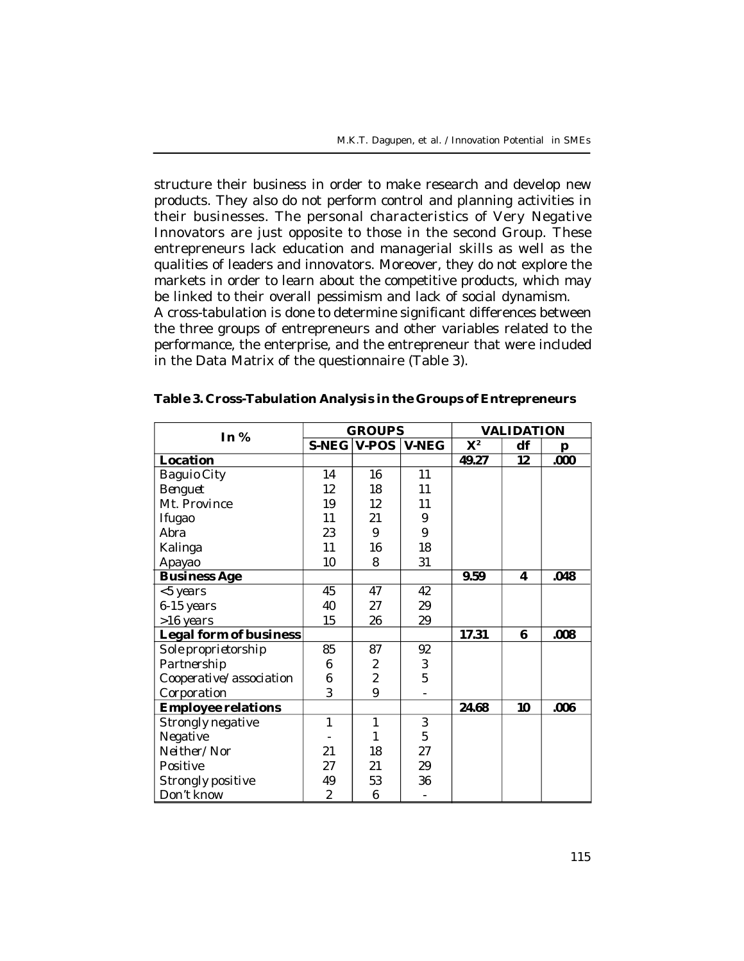structure their business in order to make research and develop new products. They also do not perform control and planning activities in their businesses. The personal characteristics of Very Negative Innovators are just opposite to those in the second Group. These entrepreneurs lack education and managerial skills as well as the qualities of leaders and innovators. Moreover, they do not explore the markets in order to learn about the competitive products, which may be linked to their overall pessimism and lack of social dynamism.

A cross-tabulation is done to determine significant differences between the three groups of entrepreneurs and other variables related to the performance, the enterprise, and the entrepreneur that were included in the Data Matrix of the questionnaire (Table 3).

| In $%$                        |              | <b>GROUPS</b>  |              | <b>VALIDATION</b> |    |      |  |
|-------------------------------|--------------|----------------|--------------|-------------------|----|------|--|
|                               |              | S-NEG V-POS    | <b>V-NEG</b> | $X^2$             | df | р    |  |
| Location                      |              |                |              | 49.27             | 12 | .000 |  |
| Baguio City                   | 14           | 16             | 11           |                   |    |      |  |
| Benguet                       | 12           | 18             | 11           |                   |    |      |  |
| Mt. Province                  | 19           | 12             | 11           |                   |    |      |  |
| <i><b>Ifugao</b></i>          | 11           | 21             | 9            |                   |    |      |  |
| Abra                          | 23           | 9              | 9            |                   |    |      |  |
| Kalinga                       | 11           | 16             | 18           |                   |    |      |  |
| Apayao                        | 10           | 8              | 31           |                   |    |      |  |
| <b>Business Age</b>           |              |                |              | 9.59              | 4  | .048 |  |
| <5 years                      | 45           | 47             | 42           |                   |    |      |  |
| 6-15 years                    | 40           | 27             | 29           |                   |    |      |  |
| >16 years                     | 15           | 26             | 29           |                   |    |      |  |
| <b>Legal form of business</b> |              |                |              | 17.31             | 6  | .008 |  |
| Sole proprietorship           | 85           | 87             | 92           |                   |    |      |  |
| Partnership                   | 6            | 2              | 3            |                   |    |      |  |
| Cooperative/association       | 6            | $\overline{2}$ | 5            |                   |    |      |  |
| Corporation                   | 3            | 9              |              |                   |    |      |  |
| <b>Employee relations</b>     |              |                |              | 24.68             | 10 | .006 |  |
| Strongly negative             | $\mathbf{1}$ | 1              | 3            |                   |    |      |  |
| Negative                      |              | 1              | 5            |                   |    |      |  |
| Neither/Nor                   | 21           | 18             | 27           |                   |    |      |  |
| Positive                      | 27           | 21             | 29           |                   |    |      |  |
| Strongly positive             | 49           | 53             | 36           |                   |    |      |  |
| Don't know                    | 2            | 6              |              |                   |    |      |  |

| Table 3. Cross-Tabulation Analysis in the Groups of Entrepreneurs |  |  |
|-------------------------------------------------------------------|--|--|
|                                                                   |  |  |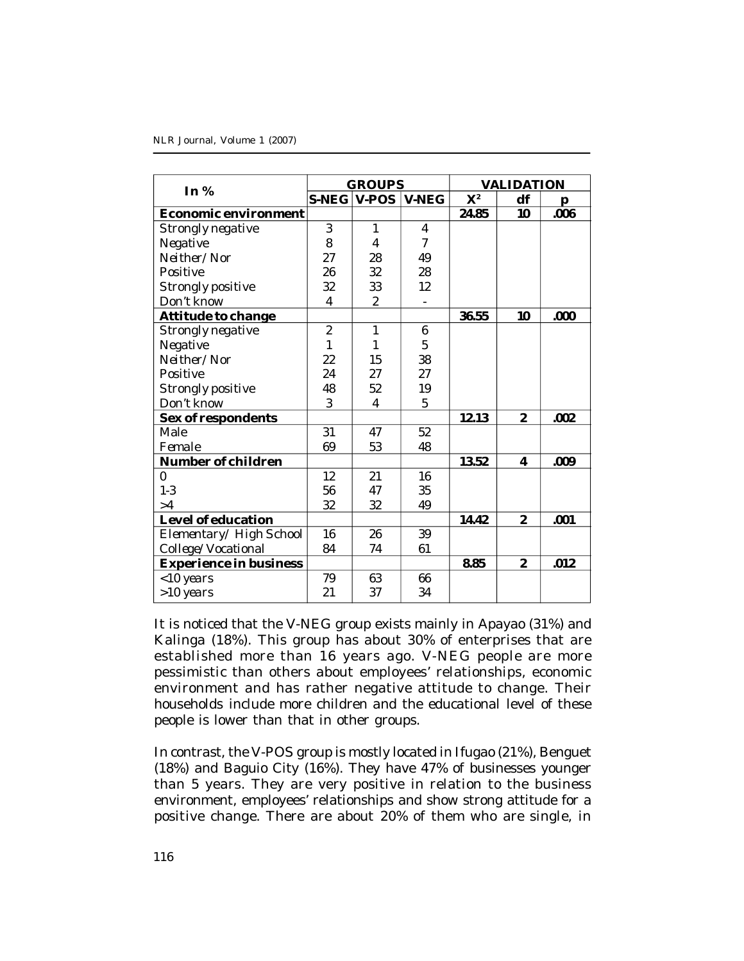#### NLR Journal, Volume 1 (2007)

| In $%$                        |                | <b>GROUPS</b> |                | <b>VALIDATION</b> |                |      |  |
|-------------------------------|----------------|---------------|----------------|-------------------|----------------|------|--|
|                               |                | S-NEG V-POS   | <b>V-NEG</b>   | $X^2$             | df             | р    |  |
| <b>Economic environment</b>   |                |               |                | 24.85             | 10             | .006 |  |
| Strongly negative             | 3              | 1             | 4              |                   |                |      |  |
| Negative                      | 8              | 4             | $\overline{7}$ |                   |                |      |  |
| Neither/Nor                   | 27             | 28            | 49             |                   |                |      |  |
| Positive                      | 26             | 32            | 28             |                   |                |      |  |
| Strongly positive             | 32             | 33            | 12             |                   |                |      |  |
| Don't know                    | 4              | 2             |                |                   |                |      |  |
| <b>Attitude to change</b>     |                |               |                | 36.55             | 10             | .000 |  |
| Strongly negative             | $\overline{2}$ | 1             | 6              |                   |                |      |  |
| Negative                      | 1              | 1             | 5              |                   |                |      |  |
| Neither/Nor                   | 22             | 15            | 38             |                   |                |      |  |
| Positive                      | 24             | 27            | 27             |                   |                |      |  |
| Strongly positive             | 48             | 52            | 19             |                   |                |      |  |
| Don't know                    | 3              | 4             | 5              |                   |                |      |  |
| Sex of respondents            |                |               |                | 12.13             | $\overline{2}$ | .002 |  |
| Male                          | 31             | 47            | 52             |                   |                |      |  |
| Female                        | 69             | 53            | 48             |                   |                |      |  |
| Number of children            |                |               |                | 13.52             | 4              | .009 |  |
| 0                             | 12             | 21            | 16             |                   |                |      |  |
| $1 - 3$                       | 56             | 47            | 35             |                   |                |      |  |
| >4                            | 32             | 32            | 49             |                   |                |      |  |
| Level of education            |                |               |                | 14.42             | $\overline{2}$ | .001 |  |
| Elementary/High School        | 16             | 26            | 39             |                   |                |      |  |
| College/Vocational            | 84             | 74            | 61             |                   |                |      |  |
| <b>Experience in business</b> |                |               |                | 8.85              | $\overline{2}$ | .012 |  |
| <10 years                     | 79             | 63            | 66             |                   |                |      |  |
| >10 years                     | 21             | 37            | 34             |                   |                |      |  |

It is noticed that the V-NEG group exists mainly in Apayao (31%) and Kalinga (18%). This group has about 30% of enterprises that are established more than 16 years ago. V-NEG people are more pessimistic than others about employees' relationships, economic environment and has rather negative attitude to change. Their households include more children and the educational level of these people is lower than that in other groups.

In contrast, the V-POS group is mostly located in Ifugao (21%), Benguet (18%) and Baguio City (16%). They have 47% of businesses younger than 5 years. They are very positive in relation to the business environment, employees' relationships and show strong attitude for a positive change. There are about 20% of them who are single, in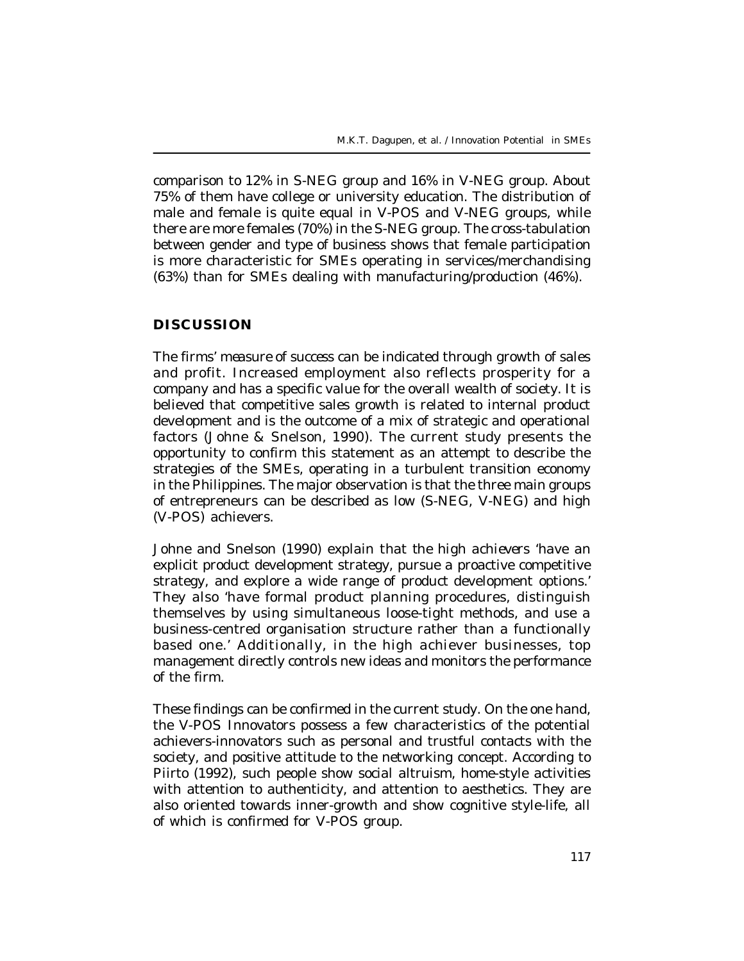comparison to 12% in S-NEG group and 16% in V-NEG group. About 75% of them have college or university education. The distribution of male and female is quite equal in V-POS and V-NEG groups, while there are more females (70%) in the S-NEG group. The cross-tabulation between gender and type of business shows that female participation is more characteristic for SMEs operating in services/merchandising (63%) than for SMEs dealing with manufacturing/production (46%).

### **DISCUSSION**

The firms' *measure of success* can be indicated through growth of sales and profit. Increased employment also reflects prosperity for a company and has a specific value for the overall wealth of society. It is believed that competitive sales growth is related to internal product development and is the outcome of a mix of strategic and operational factors (Johne & Snelson, 1990). The current study presents the opportunity to confirm this statement as an attempt to describe the strategies of the SMEs, operating in a turbulent transition economy in the Philippines. The major observation is that the three main groups of entrepreneurs can be described as low (S-NEG, V-NEG) and high (V-POS) achievers.

Johne and Snelson (1990) explain that *the high achievers* 'have an explicit product development strategy, pursue a proactive competitive strategy, and explore a wide range of product development options.' They also 'have formal product planning procedures, distinguish themselves by using simultaneous loose-tight methods, and use a business-centred organisation structure rather than a functionally based one.' Additionally, in the high achiever businesses, top management directly controls new ideas and monitors the performance of the firm.

These findings can be confirmed in the current study. On the one hand, the *V-POS Innovators* possess a few characteristics of the potential achievers-innovators such as personal and trustful contacts with the society, and positive attitude to the networking concept. According to Piirto (1992), such people show social altruism, home-style activities with attention to authenticity, and attention to aesthetics. They are also oriented towards inner-growth and show cognitive style-life, all of which is confirmed for V-POS group.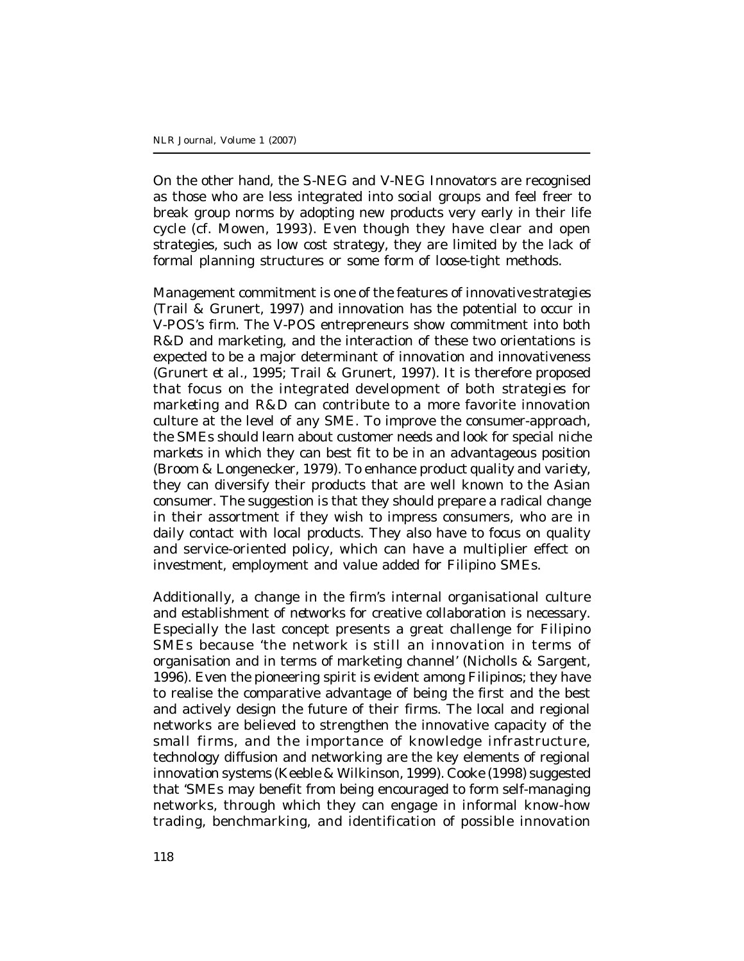On the other hand, the *S-NEG and V-NEG Innovators* are recognised as those who are less integrated into social groups and feel freer to break group norms by adopting new products very early in their life cycle (cf. Mowen, 1993). Even though they have clear and open strategies, such as low cost strategy, they are limited by the lack of formal planning structures or some form of loose-tight methods.

Management commitment is one of the features of *innovative strategies* (Trail & Grunert, 1997) and innovation has the potential to occur in V-POS's firm. The V-POS entrepreneurs show commitment into both R&D and marketing, and the interaction of these two orientations is expected to be a major determinant of innovation and innovativeness (Grunert *et al.,* 1995; Trail & Grunert, 1997). It is therefore proposed that focus on the integrated development of both *strategies for marketing and R&D* can contribute to a more favorite innovation culture at the level of any SME. To improve the consumer-approach, the SMEs should learn about customer needs and look for special *niche markets* in which they can best fit to be in an advantageous position (Broom & Longenecker, 1979). To enhance *product quality and variety*, they can diversify their products that are well known to the Asian consumer. The suggestion is that they should prepare a radical change in their assortment if they wish to impress consumers, who are in daily contact with local products. They also have to focus on quality and service-oriented policy, which can have a multiplier effect on investment, employment and value added for Filipino SMEs.

Additionally, a change in the firm's internal organisational culture and establishment of *networks* for creative collaboration is necessary. Especially the last concept presents a great challenge for Filipino SMEs because 'the network is still an innovation in terms of organisation and in terms of marketing channel' (Nicholls & Sargent, 1996). Even the pioneering spirit is evident among Filipinos; they have to realise the comparative advantage of being the first and the best and actively design the future of their firms. The local and regional networks are believed to strengthen the innovative capacity of the small firms, and the importance of knowledge infrastructure, technology diffusion and networking are the key elements of regional innovation systems (Keeble & Wilkinson, 1999). Cooke (1998) suggested that 'SMEs may benefit from being encouraged to form self-managing networks, through which they can engage in informal know-how trading, benchmarking, and identification of possible innovation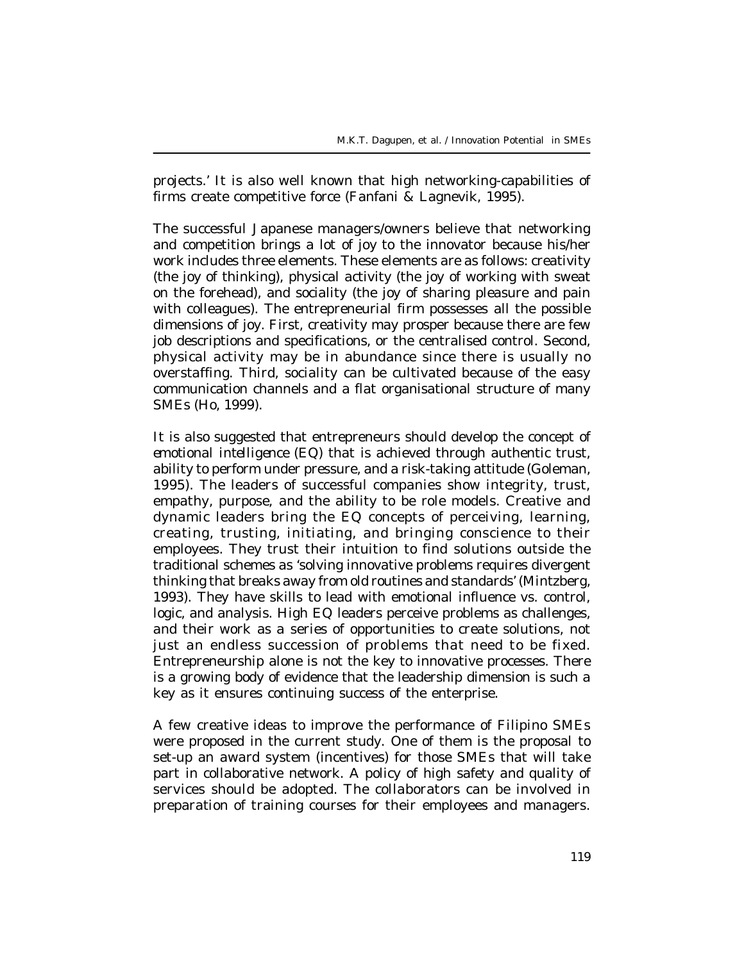projects.' It is also well known that high networking-capabilities of firms create competitive force (Fanfani & Lagnevik, 1995).

The successful Japanese managers/owners believe that networking and competition brings a lot of *joy* to the innovator because his/her work includes three elements. These elements are as follows: creativity (the joy of thinking), physical activity (the joy of working with sweat on the forehead), and sociality (the joy of sharing pleasure and pain with colleagues). The entrepreneurial firm possesses all the possible dimensions of joy. First, creativity may prosper because there are few job descriptions and specifications, or the centralised control. Second, physical activity may be in abundance since there is usually no overstaffing. Third, sociality can be cultivated because of the easy communication channels and a flat organisational structure of many SMEs (Ho, 1999).

It is also suggested that entrepreneurs should develop the concept of *emotional intelligence (EQ)* that is achieved through authentic trust, ability to perform under pressure, and a risk-taking attitude (Goleman, 1995). The leaders of successful companies show integrity, trust, empathy, purpose, and the ability to be role models. Creative and dynamic leaders bring the EQ concepts of perceiving, learning, creating, trusting, initiating, and bringing conscience to their employees. They trust their intuition to find solutions outside the traditional schemes as 'solving innovative problems requires divergent thinking that breaks away from old routines and standards' (Mintzberg, 1993). They have skills to lead with emotional influence vs. control, logic, and analysis. High EQ leaders perceive problems as challenges, and their work as a series of opportunities to create solutions, not just an endless succession of problems that need to be fixed. Entrepreneurship alone is not the key to innovative processes. There is a growing body of evidence that the leadership dimension is such a key as it ensures continuing success of the enterprise.

A few creative ideas to improve the performance of Filipino SMEs were proposed in the current study. One of them is the proposal to set-up an award system (incentives) for those SMEs that will take part in collaborative network. A policy of high safety and quality of services should be adopted. The collaborators can be involved in preparation of training courses for their employees and managers.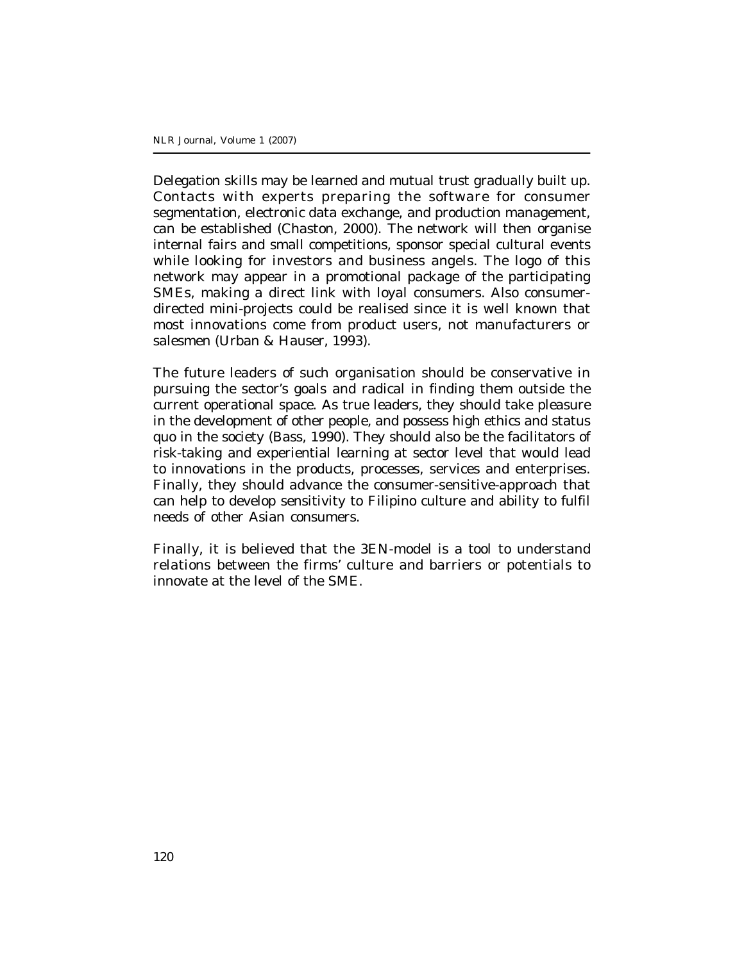Delegation skills may be learned and mutual trust gradually built up. Contacts with experts preparing the software for consumer segmentation, electronic data exchange, and production management, can be established (Chaston, 2000). The network will then organise internal fairs and small competitions, sponsor special cultural events while looking for investors and business angels. The logo of this network may appear in a promotional package of the participating SMEs, making a direct link with loyal consumers. Also consumerdirected mini-projects could be realised since it is well known that most innovations come from product users, not manufacturers or salesmen (Urban & Hauser, 1993).

The future leaders of such organisation should be conservative in pursuing the sector's goals and radical in finding them outside the current operational space. As true leaders, they should take pleasure in the development of other people, and possess high ethics and status quo in the society (Bass, 1990). They should also be the facilitators of risk-taking and experiential learning at sector level that would lead to innovations in the products, processes, services and enterprises. Finally, they should advance the consumer-sensitive-approach that can help to develop sensitivity to Filipino culture and ability to fulfil needs of other Asian consumers.

Finally, it is believed that the 3EN-model is a *tool* to understand relations between the firms' culture and barriers or potentials to innovate at the level of the SME.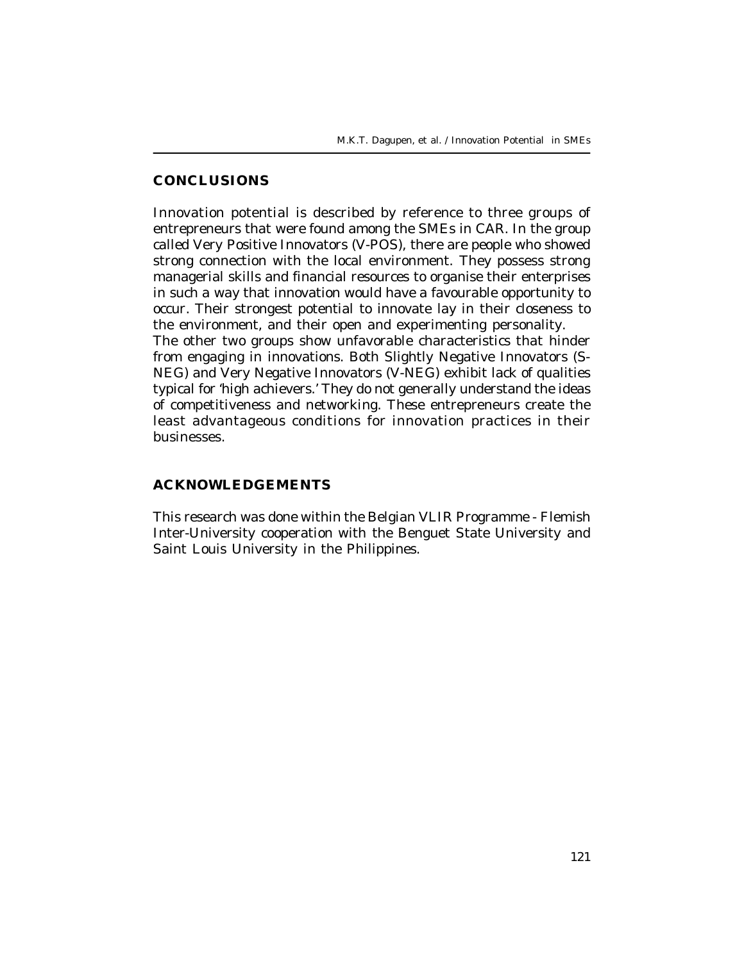### **CONCLUSIONS**

Innovation potential is described by reference to three groups of entrepreneurs that were found among the SMEs in CAR. In the group called Very Positive Innovators (V-POS), there are people who showed strong connection with the local environment. They possess strong managerial skills and financial resources to organise their enterprises in such a way that innovation would have a favourable opportunity to occur. Their strongest potential to innovate lay in their closeness to the environment, and their open and experimenting personality. The other two groups show unfavorable characteristics that hinder from engaging in innovations. Both Slightly Negative Innovators (S-NEG) and Very Negative Innovators (V-NEG) exhibit lack of qualities typical for 'high achievers.' They do not generally understand the ideas of competitiveness and networking. These entrepreneurs create the least advantageous conditions for innovation practices in their businesses.

### **ACKNOWLEDGEMENTS**

This research was done within the Belgian VLIR Programme - Flemish Inter-University cooperation with the Benguet State University and Saint Louis University in the Philippines.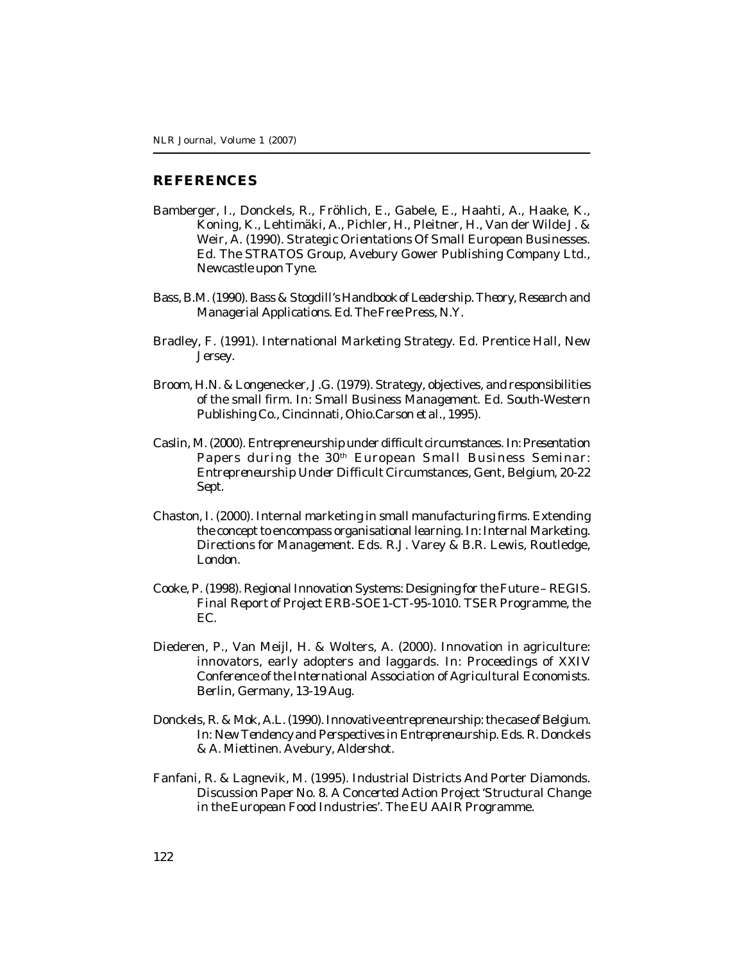#### **REFERENCES**

- Bamberger, I., Donckels, R., Fröhlich, E., Gabele, E., Haahti, A., Haake, K., Koning, K., Lehtimäki, A., Pichler, H., Pleitner, H., Van der Wilde J. & Weir, A. (1990). *Strategic Orientations Of Small European Businesses.* Ed. The STRATOS Group, Avebury Gower Publishing Company Ltd., Newcastle upon Tyne.
- Bass, B.M. (1990). *Bass & Stogdill's Handbook of Leadership. Theory, Research and Managerial Applications.* Ed. The Free Press, N.Y.
- Bradley, F. (1991). *International Marketing Strategy.* Ed. Prentice Hall, New Jersey.
- Broom, H.N. & Longenecker, J.G. (1979). Strategy, objectives, and responsibilities of the small firm. In: *Small Business Management.* Ed. South-Western Publishing Co., Cincinnati, Ohio.Carson *et al.,* 1995).
- Caslin, M. (2000). Entrepreneurship under difficult circumstances. In: *Presentation Papers during the 30th European Small Business Seminar: Entrepreneurship Under Difficult Circumstances,* Gent, Belgium, 20-22 Sept.
- Chaston, I. (2000). Internal marketing in small manufacturing firms. Extending the concept to encompass organisational learning. In: *Internal Marketing. Directions for Management.* Eds. R.J. Varey & B.R. Lewis, Routledge, London.
- Cooke, P. (1998). Regional Innovation Systems: Designing for the Future REGIS. *Final Report of Project ERB-SOE1-CT-95-1010.* TSER Programme, the EC.
- Diederen, P., Van Meijl, H. & Wolters, A. (2000). Innovation in agriculture: innovators, early adopters and laggards. In: *Proceedings of XXIV Conference of the International Association of Agricultural Economists.* Berlin, Germany, 13-19 Aug.
- Donckels, R. & Mok, A.L. (1990). Innovative entrepreneurship: the case of Belgium. In: *New Tendency and Perspectives in Entrepreneurship.* Eds. R. Donckels & A. Miettinen. Avebury, Aldershot.
- Fanfani, R. & Lagnevik, M. (1995). Industrial Districts And Porter Diamonds. *Discussion Paper No. 8. A Concerted Action Project 'Structural Change in the European Food Industries'.* The EU AAIR Programme.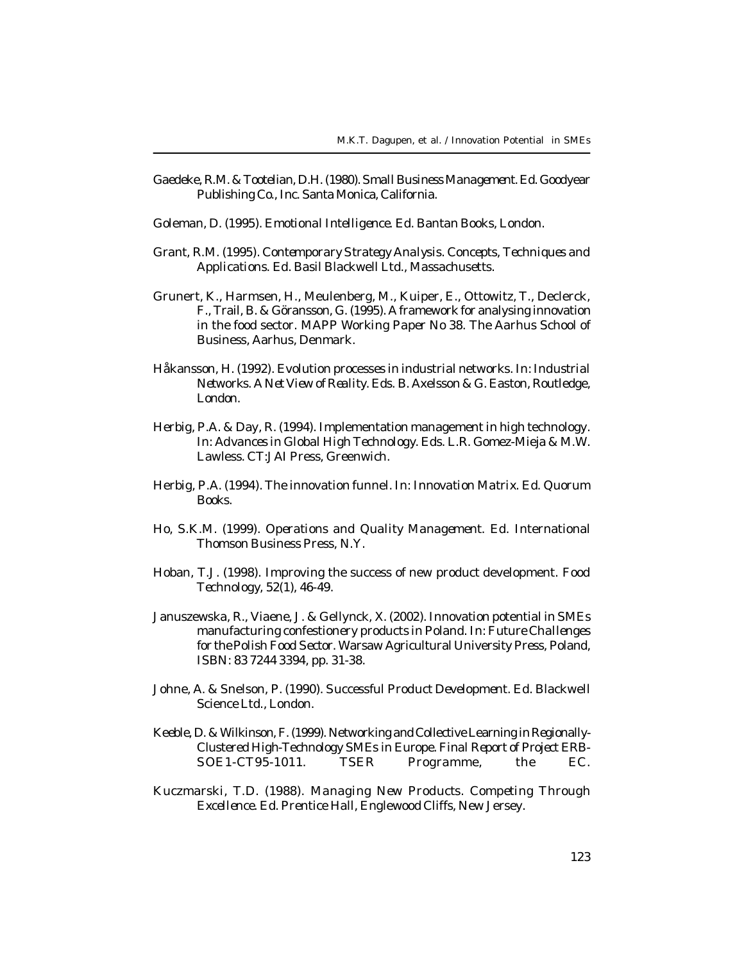- Gaedeke, R.M. & Tootelian, D.H. (1980). *Small Business Management.* Ed. Goodyear Publishing Co., Inc. Santa Monica, California.
- Goleman, D. (1995). *Emotional Intelligence.* Ed. Bantan Books, London.
- Grant, R.M. (1995). *Contemporary Strategy Analysis. Concepts, Techniques and Applications.* Ed. Basil Blackwell Ltd., Massachusetts.
- Grunert, K., Harmsen, H., Meulenberg, M., Kuiper, E., Ottowitz, T., Declerck, F., Trail, B. & Göransson, G. (1995). A framework for analysing innovation in the food sector. *MAPP Working Paper No 38.* The Aarhus School of Business, Aarhus, Denmark.
- Håkansson, H. (1992). Evolution processes in industrial networks. In: *Industrial Networks. A Net View of Reality.* Eds. B. Axelsson & G. Easton, Routledge, London.
- Herbig, P.A. & Day, R. (1994). Implementation management in high technology. In: *Advances in Global High Technology.* Eds. L.R. Gomez-Mieja & M.W. Lawless. CT:JAI Press, Greenwich.
- Herbig, P.A. (1994). The innovation funnel. In: *Innovation Matrix.* Ed. Quorum Books.
- Ho, S.K.M. (1999). *Operations and Quality Management.* Ed. International Thomson Business Press, N.Y.
- Hoban, T.J. (1998). Improving the success of new product development. *Food Technology, 52(1),* 46-49.
- Januszewska, R., Viaene, J. & Gellynck, X. (2002). Innovation potential in SMEs manufacturing confestionery products in Poland. In: *Future Challenges for the Polish Food Sector*. Warsaw Agricultural University Press, Poland, ISBN: 83 7244 3394, pp. 31-38.
- Johne, A. & Snelson, P. (1990). *Successful Product Development.* Ed. Blackwell Science Ltd., London.
- Keeble, D. & Wilkinson, F. (1999). Networking and Collective Learning in Regionally-Clustered High-Technology SMEs in Europe. *Final Report of Project ERB-SOE1-CT95-1011.* TSER Programme, the EC.
- Kuczmarski, T.D. (1988). *Managing New Products. Competing Through Excellence*. Ed. Prentice Hall, Englewood Cliffs, New Jersey.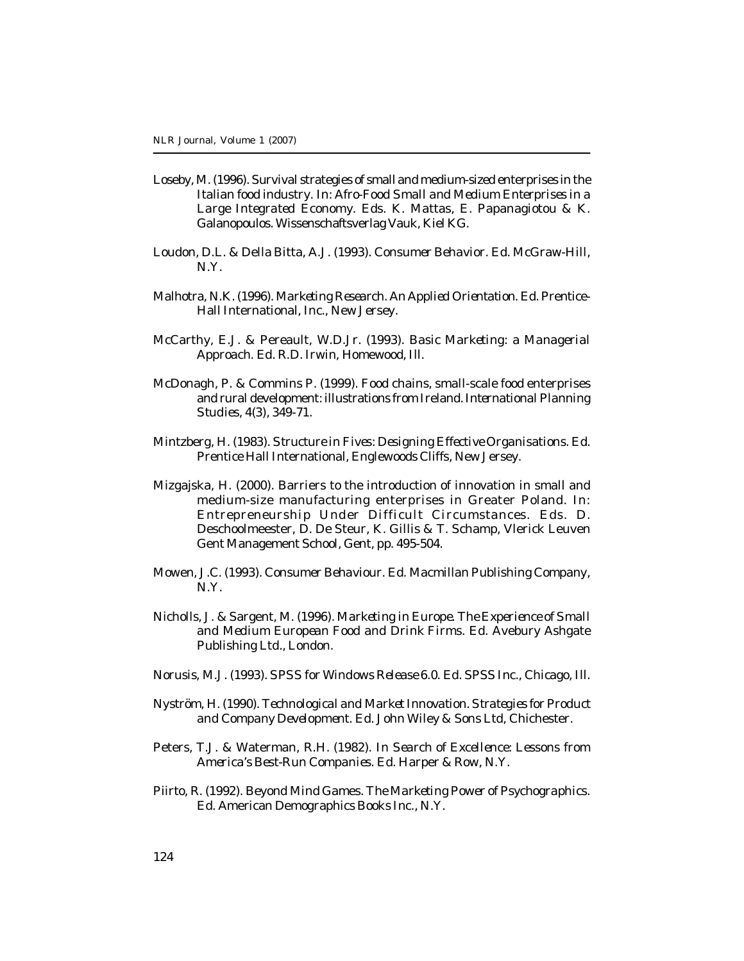- Loseby, M. (1996). Survival strategies of small and medium-sized enterprises in the Italian food industry. In: *Afro-Food Small and Medium Enterprises in a Large Integrated Economy*. Eds. K. Mattas, E. Papanagiotou & K. Galanopoulos. Wissenschaftsverlag Vauk, Kiel KG.
- Loudon, D.L. & Della Bitta, A.J. (1993). *Consumer Behavior*. Ed. McGraw-Hill, N.Y.
- Malhotra, N.K. (1996). *Marketing Research. An Applied Orientation*. Ed. Prentice-Hall International, Inc., New Jersey.
- McCarthy, E.J. & Pereault, W.D.Jr. (1993). *Basic Marketing: a Managerial Approach.* Ed. R.D. Irwin, Homewood, Ill.
- McDonagh, P. & Commins P. (1999). Food chains, small-scale food enterprises and rural development: illustrations from Ireland. *International Planning Studies, 4(3),* 349-71.
- Mintzberg, H. (1983). *Structure in Fives: Designing Effective Organisations.* Ed. Prentice Hall International, Englewoods Cliffs, New Jersey.
- Mizgajska, H. (2000). Barriers to the introduction of innovation in small and medium-size manufacturing enterprises in Greater Poland. In: *Entrepreneurship Under Difficult Circumstances.* Eds. D. Deschoolmeester, D. De Steur, K. Gillis & T. Schamp, Vlerick Leuven Gent Management School, Gent, pp. 495-504.
- Mowen, J.C. (1993). *Consumer Behaviour.* Ed. Macmillan Publishing Company, N.Y.
- Nicholls, J. & Sargent, M. (1996). *Marketing in Europe. The Experience of Small and Medium European Food and Drink Firms.* Ed. Avebury Ashgate Publishing Ltd., London.
- Norusis, M.J. (1993). *SPSS for Windows Release 6.0.* Ed. SPSS Inc., Chicago, Ill.
- Nyström, H. (1990). *Technological and Market Innovation. Strategies for Product and Company Development.* Ed. John Wiley & Sons Ltd, Chichester.
- Peters, T.J. & Waterman, R.H. (1982). *In Search of Excellence: Lessons from America's Best-Run Companies.* Ed. Harper & Row, N.Y.
- Piirto, R. (1992). Beyond Mind Games. *The Marketing Power of Psychographics.* Ed. American Demographics Books Inc., N.Y.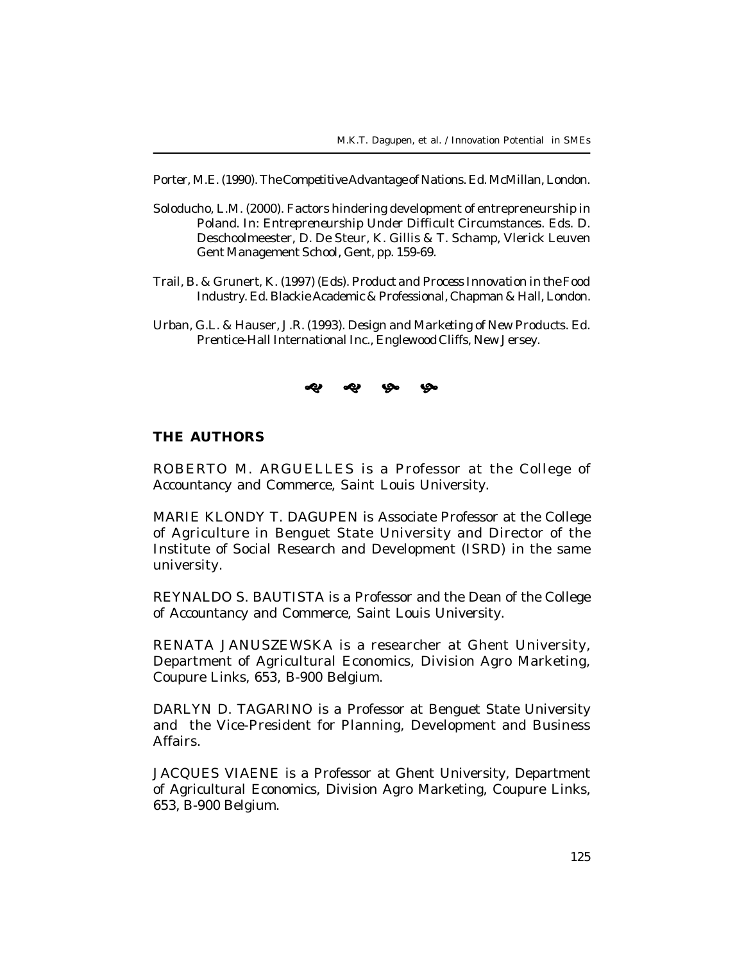Porter, M.E. (1990). *The Competitive Advantage of Nations.* Ed. McMillan, London.

- Soloducho, L.M. (2000). Factors hindering development of entrepreneurship in Poland. In: *Entrepreneurship Under Difficult Circumstances.* Eds. D. Deschoolmeester, D. De Steur, K. Gillis & T. Schamp, Vlerick Leuven Gent Management School, Gent, pp. 159-69.
- Trail, B. & Grunert, K. (1997) (Eds). *Product and Process Innovation in the Food Industry.* Ed. Blackie Academic & Professional, Chapman & Hall, London.
- Urban, G.L. & Hauser, J.R. (1993). *Design and Marketing of New Products.* Ed. Prentice-Hall International Inc., Englewood Cliffs, New Jersey.



#### **THE AUTHORS**

ROBERTO M. ARGUELLES is a Professor at the College of Accountancy and Commerce, Saint Louis University.

MARIE KLONDY T. DAGUPEN is Associate Professor at the College of Agriculture in Benguet State University and Director of the Institute of Social Research and Development (ISRD) in the same university.

REYNALDO S. BAUTISTA is a Professor and the Dean of the College of Accountancy and Commerce, Saint Louis University.

RENATA JANUSZEWSKA is a researcher at Ghent University, Department of Agricultural Economics, Division Agro Marketing, Coupure Links, 653, B-900 Belgium.

DARLYN D. TAGARINO is a Professor at Benguet State University and the Vice-President for Planning, Development and Business Affairs.

JACQUES VIAENE is a Professor at Ghent University, Department of Agricultural Economics, Division Agro Marketing, Coupure Links, 653, B-900 Belgium.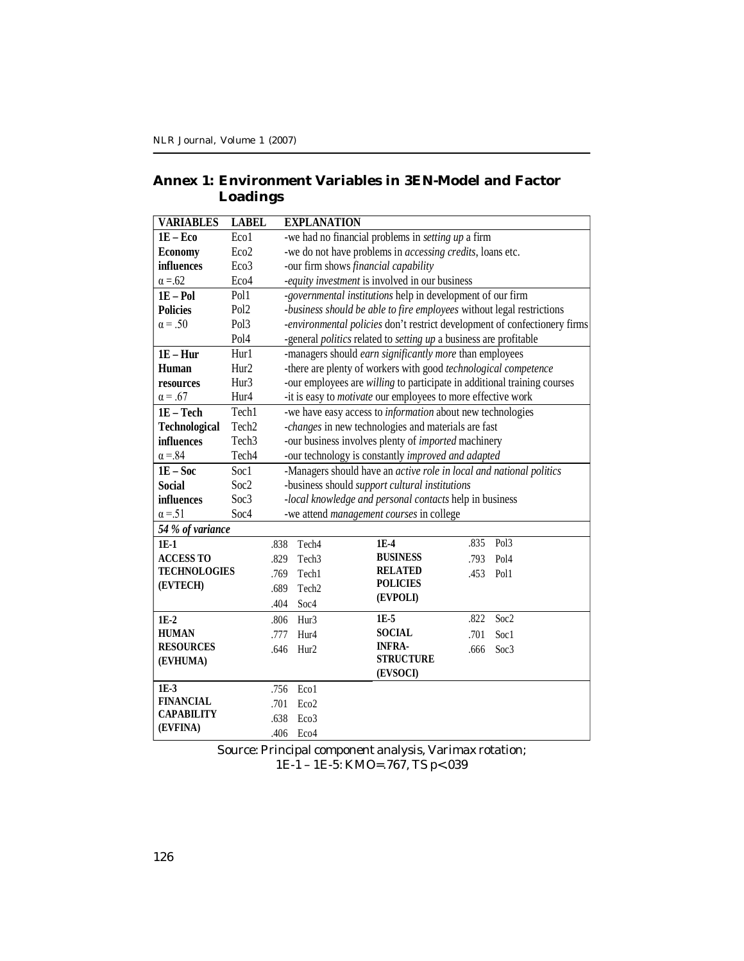## **Annex 1: Environment Variables in 3EN-Model and Factor Loadings**

| <b>VARIABLES</b>     | <b>LABEL</b>      |      | <b>EXPLANATION</b>                                                  |                                                                       |      |                                                                           |  |  |
|----------------------|-------------------|------|---------------------------------------------------------------------|-----------------------------------------------------------------------|------|---------------------------------------------------------------------------|--|--|
| $1E - Eco$           | Eco1              |      |                                                                     | -we had no financial problems in <i>setting up</i> a firm             |      |                                                                           |  |  |
| <b>Economy</b>       | Eco <sub>2</sub>  |      | -we do not have problems in <i>accessing credits</i> , loans etc.   |                                                                       |      |                                                                           |  |  |
| influences           | Eco <sub>3</sub>  |      | -our firm shows financial capability                                |                                                                       |      |                                                                           |  |  |
| $\alpha = 62$        | Eco <sub>4</sub>  |      | -equity investment is involved in our business                      |                                                                       |      |                                                                           |  |  |
| $1E - Pol$           | Pol1              |      |                                                                     | -governmental institutions help in development of our firm            |      |                                                                           |  |  |
| <b>Policies</b>      | Pol <sub>2</sub>  |      |                                                                     | -business should be able to fire employees without legal restrictions |      |                                                                           |  |  |
| $\alpha = .50$       | Pol <sub>3</sub>  |      |                                                                     |                                                                       |      | -environmental policies don't restrict development of confectionery firms |  |  |
|                      | Pol <sub>4</sub>  |      |                                                                     | -general politics related to setting up a business are profitable     |      |                                                                           |  |  |
| $1E - Hur$           | Hur1              |      |                                                                     | -managers should earn significantly more than employees               |      |                                                                           |  |  |
| Human                | Hur <sub>2</sub>  |      |                                                                     | -there are plenty of workers with good technological competence       |      |                                                                           |  |  |
| resources            | Hur3              |      |                                                                     |                                                                       |      | -our employees are willing to participate in additional training courses  |  |  |
| $\alpha = .67$       | Hur4              |      | -it is easy to motivate our employees to more effective work        |                                                                       |      |                                                                           |  |  |
| 1E - Tech            | Tech1             |      |                                                                     | -we have easy access to <i>information</i> about new technologies     |      |                                                                           |  |  |
| <b>Technological</b> | Tech <sub>2</sub> |      |                                                                     | -changes in new technologies and materials are fast                   |      |                                                                           |  |  |
| influences           | Tech <sub>3</sub> |      | -our business involves plenty of <i>imported</i> machinery          |                                                                       |      |                                                                           |  |  |
| $\alpha = 84$        | Tech <sub>4</sub> |      | -our technology is constantly improved and adapted                  |                                                                       |      |                                                                           |  |  |
| $1E - Soc$           | Soc1              |      | -Managers should have an active role in local and national politics |                                                                       |      |                                                                           |  |  |
| <b>Social</b>        | Soc <sub>2</sub>  |      |                                                                     | -business should support cultural institutions                        |      |                                                                           |  |  |
| influences           | Soc3              |      |                                                                     | -local knowledge and personal contacts help in business               |      |                                                                           |  |  |
| $\alpha = 51$        | Soc4              |      |                                                                     | -we attend <i>management courses</i> in college                       |      |                                                                           |  |  |
| 54 % of variance     |                   |      |                                                                     |                                                                       |      |                                                                           |  |  |
| $1E-1$               |                   | .838 | Tech <sub>4</sub>                                                   | $1E-4$                                                                | .835 | Pol <sub>3</sub>                                                          |  |  |
| <b>ACCESS TO</b>     |                   | .829 | Tech <sub>3</sub>                                                   | <b>BUSINESS</b>                                                       | .793 | Pol <sub>4</sub>                                                          |  |  |
| <b>TECHNOLOGIES</b>  |                   | .769 | Tech1                                                               | <b>RELATED</b>                                                        | .453 | Pol1                                                                      |  |  |
| (EVTECH)             |                   | .689 | Tech <sub>2</sub>                                                   | <b>POLICIES</b>                                                       |      |                                                                           |  |  |
|                      |                   | .404 | Soc4                                                                | (EVPOLI)                                                              |      |                                                                           |  |  |
| $1E-2$               |                   | .806 | Hur <sub>3</sub>                                                    | 1E-5                                                                  | .822 | Soc <sub>2</sub>                                                          |  |  |
| <b>HUMAN</b>         |                   | .777 | Hur4                                                                | <b>SOCIAL</b>                                                         | .701 | Soc1                                                                      |  |  |
| <b>RESOURCES</b>     |                   | .646 | Hur <sub>2</sub>                                                    | <b>INFRA-</b>                                                         | .666 | Soc3                                                                      |  |  |
| (EVHUMA)             |                   |      |                                                                     | <b>STRUCTURE</b>                                                      |      |                                                                           |  |  |
|                      |                   |      |                                                                     | (EVSOCI)                                                              |      |                                                                           |  |  |
| $1E-3$               |                   | .756 | Eco1                                                                |                                                                       |      |                                                                           |  |  |
| <b>FINANCIAL</b>     |                   | .701 | Eco <sub>2</sub>                                                    |                                                                       |      |                                                                           |  |  |
| <b>CAPABILITY</b>    |                   | .638 | Eco3                                                                |                                                                       |      |                                                                           |  |  |
| (EVFINA)             |                   | .406 | Eco4                                                                |                                                                       |      |                                                                           |  |  |

Source: Principal component analysis, Varimax rotation; 1E-1 – 1E-5: KMO=.767, TS p<.039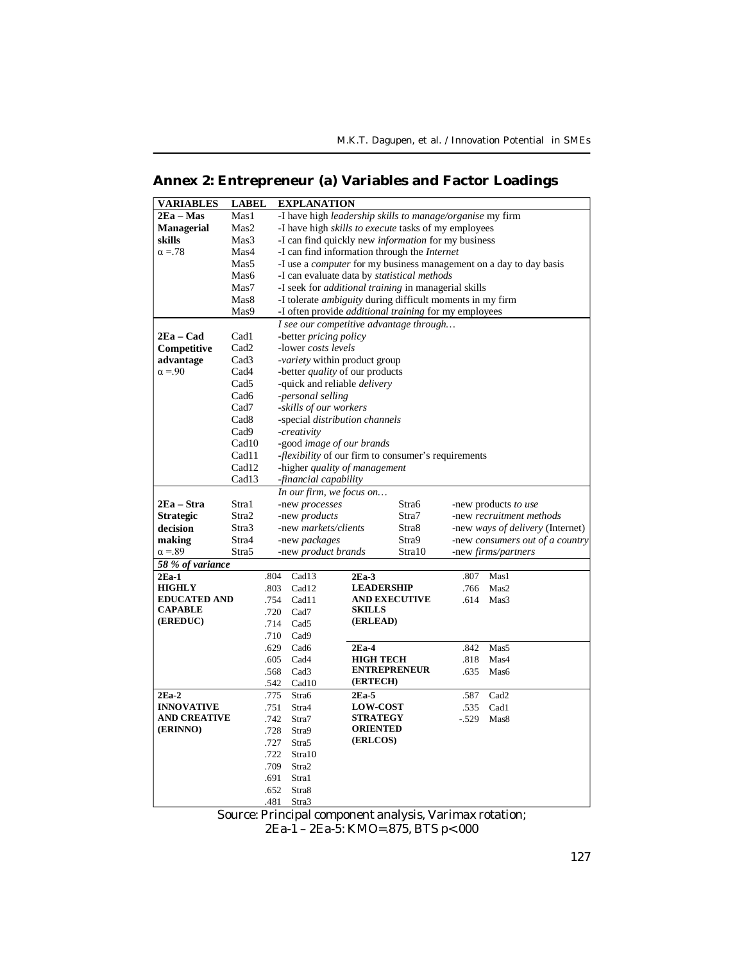# **Annex 2: Entrepreneur (a) Variables and Factor Loadings**

| VARIABLES           | <b>LABEL</b>      |      | <b>EXPLANATION</b>                                           |                      |        |         |                                                                           |
|---------------------|-------------------|------|--------------------------------------------------------------|----------------------|--------|---------|---------------------------------------------------------------------------|
| $2Ea - Mas$         | Mas1              |      | -I have high leadership skills to manage/organise my firm    |                      |        |         |                                                                           |
| <b>Managerial</b>   | Mas2              |      | -I have high <i>skills to execute</i> tasks of my employees  |                      |        |         |                                                                           |
| skills              | Mas3              |      | -I can find quickly new <i>information</i> for my business   |                      |        |         |                                                                           |
| $\alpha = 78$       | Mas4              |      | -I can find information through the <i>Internet</i>          |                      |        |         |                                                                           |
|                     | Mas5              |      |                                                              |                      |        |         | -I use a <i>computer</i> for my business management on a day to day basis |
|                     | Mas6              |      | -I can evaluate data by statistical methods                  |                      |        |         |                                                                           |
|                     | Mas7              |      | -I seek for <i>additional training</i> in managerial skills  |                      |        |         |                                                                           |
|                     | Mas <sub>8</sub>  |      | -I tolerate ambiguity during difficult moments in my firm    |                      |        |         |                                                                           |
|                     | Mas9              |      | -I often provide <i>additional training</i> for my employees |                      |        |         |                                                                           |
|                     |                   |      | I see our competitive advantage through                      |                      |        |         |                                                                           |
| 2Ea – Cad           | Cad1              |      | -better <i>pricing policy</i>                                |                      |        |         |                                                                           |
| Competitive         | Cad <sub>2</sub>  |      | -lower costs levels                                          |                      |        |         |                                                                           |
| advantage           | Cad <sub>3</sub>  |      | -variety within product group                                |                      |        |         |                                                                           |
| $\alpha = 90$       | Cad4              |      | -better <i>quality</i> of our products                       |                      |        |         |                                                                           |
|                     | Cad5              |      | -quick and reliable <i>delivery</i>                          |                      |        |         |                                                                           |
|                     | Cad <sub>6</sub>  |      | -personal selling                                            |                      |        |         |                                                                           |
|                     | Cad7              |      | -skills of our workers                                       |                      |        |         |                                                                           |
|                     | Cad <sub>8</sub>  |      | -special distribution channels                               |                      |        |         |                                                                           |
|                     | Cad9              |      | -creativity                                                  |                      |        |         |                                                                           |
|                     | Cad <sub>10</sub> |      | -good image of our brands                                    |                      |        |         |                                                                           |
|                     | Cad11             |      | <i>-flexibility</i> of our firm to consumer's requirements   |                      |        |         |                                                                           |
|                     | Cad12             |      | -higher quality of management                                |                      |        |         |                                                                           |
|                     | Cad13             |      | -financial capability                                        |                      |        |         |                                                                           |
|                     |                   |      | In our firm, we focus on                                     |                      |        |         |                                                                           |
| 2Ea – Stra          | Stra1             |      | -new processes                                               |                      | Stra6  |         | -new products to use                                                      |
| <b>Strategic</b>    | Stra2             |      | -new <i>products</i>                                         |                      | Stra7  |         | -new recruitment methods                                                  |
| decision            | Stra3             |      | -new markets/clients                                         |                      | Stra8  |         | -new <i>ways of delivery</i> (Internet)                                   |
| making              | Stra4             |      | -new <i>packages</i>                                         |                      | Stra9  |         | -new consumers out of a country                                           |
| $\alpha = 89$       | Stra5             |      | -new <i>product</i> brands                                   |                      | Stra10 |         | -new <i>firms/partners</i>                                                |
| 58 % of variance    |                   |      |                                                              |                      |        |         |                                                                           |
| $2Ea-1$             |                   | .804 | Cad13                                                        | $2Ea-3$              |        | .807    | Mas1                                                                      |
| <b>HIGHLY</b>       |                   | .803 | Cad12                                                        | <b>LEADERSHIP</b>    |        | .766    | Mas2                                                                      |
| <b>EDUCATED AND</b> |                   | .754 | Cad11                                                        | <b>AND EXECUTIVE</b> |        | .614    | Mas3                                                                      |
| <b>CAPABLE</b>      |                   | .720 | Cad7                                                         | <b>SKILLS</b>        |        |         |                                                                           |
| (EREDUC)            |                   | .714 | Cad <sub>5</sub>                                             | (ERLEAD)             |        |         |                                                                           |
|                     |                   | .710 | Cad9                                                         |                      |        |         |                                                                           |
|                     |                   | .629 | Cad <sub>6</sub>                                             | $2Ea-4$              |        | .842    | Mas5                                                                      |
|                     |                   | .605 | Cad4                                                         | <b>HIGH TECH</b>     |        | .818    | Mas4                                                                      |
|                     |                   | .568 | Cad <sub>3</sub>                                             | <b>ENTREPRENEUR</b>  |        | .635    | Mas6                                                                      |
|                     |                   | .542 | Cad10                                                        | (ERTECH)             |        |         |                                                                           |
| $2Ea-2$             |                   | .775 | Stra6                                                        | $2Ea-5$              |        | .587    | Cad <sub>2</sub>                                                          |
| <b>INNOVATIVE</b>   |                   | .751 | Stra4                                                        | <b>LOW-COST</b>      |        | .535    | Cad1                                                                      |
| <b>AND CREATIVE</b> |                   | .742 | Stra7                                                        | <b>STRATEGY</b>      |        | $-.529$ | Mas <sub>8</sub>                                                          |
| (ERINNO)            |                   | .728 | Stra9                                                        | <b>ORIENTED</b>      |        |         |                                                                           |
|                     |                   | .727 | Stra5                                                        | (ERLCOS)             |        |         |                                                                           |
|                     |                   | .722 | Stra10                                                       |                      |        |         |                                                                           |
|                     |                   | .709 | Stra2                                                        |                      |        |         |                                                                           |
|                     |                   | .691 | Stra1                                                        |                      |        |         |                                                                           |
|                     |                   | .652 | Stra8                                                        |                      |        |         |                                                                           |
|                     |                   | .481 | Stra3                                                        |                      |        |         |                                                                           |

Source: Principal component analysis, Varimax rotation;

2Ea-1 – 2Ea-5: KMO=.875, BTS p<.000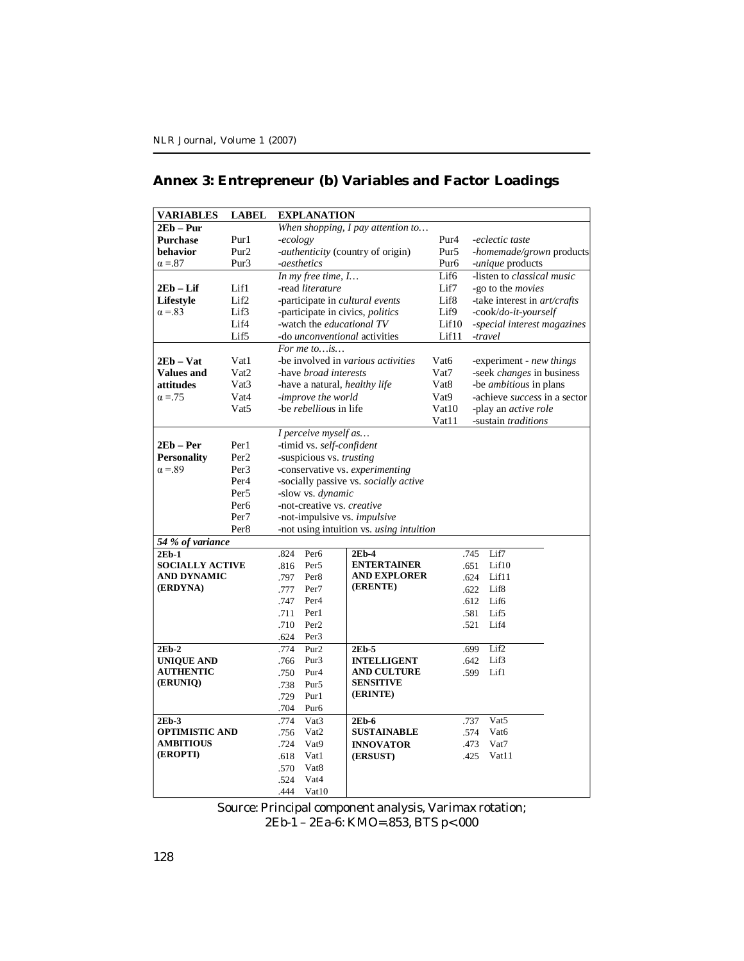# **Annex 3: Entrepreneur (b) Variables and Factor Loadings**

| <b>VARIABLES</b>       | <b>LABEL</b>     |                                   | <b>EXPLANATION</b>            |                                          |                  |                                  |
|------------------------|------------------|-----------------------------------|-------------------------------|------------------------------------------|------------------|----------------------------------|
| $2Eb - Pur$            |                  |                                   |                               | When shopping, I pay attention to        |                  |                                  |
| <b>Purchase</b>        | Pur1             | -ecology                          |                               |                                          | Pur <sub>4</sub> | -eclectic taste                  |
| behavior               | Pur <sub>2</sub> | -authenticity (country of origin) |                               |                                          | Pur5             | -homemade/grown products         |
| $\alpha = 87$          | Pur <sub>3</sub> | -aesthetics                       |                               |                                          | Pur <sub>6</sub> | -unique products                 |
|                        |                  |                                   | In my free time, I            |                                          | Lif6             | -listen to classical music       |
| $2Eb - Lif$            | Lif1             |                                   | -read literature              |                                          | Lif7             | -go to the movies                |
| Lifestyle              | Lif2             |                                   |                               | -participate in <i>cultural events</i>   | Lif <sub>8</sub> | -take interest in art/crafts     |
| $\alpha = 83$          | Lif3             |                                   |                               | -participate in civics, politics         | Lif9             | -cook/do-it-yourself             |
|                        | Lif4             |                                   | -watch the educational TV     |                                          | Lif10            | -special interest magazines      |
|                        | Lif5             |                                   |                               | -do <i>unconventional</i> activities     | Lif11            | -travel                          |
|                        |                  |                                   | For me to $is$                |                                          |                  |                                  |
| $2Eb - Vat$            | Vat1             |                                   |                               | -be involved in various activities       | Vat <sub>6</sub> | -experiment - new things         |
| <b>Values and</b>      | Vat <sub>2</sub> |                                   | -have broad interests         |                                          | Vat7             | -seek <i>changes</i> in business |
| attitudes              | Vat <sub>3</sub> |                                   | -have a natural, healthy life |                                          | Vat8             | -be <i>ambitious</i> in plans    |
| $\alpha = 75$          | Vat4             |                                   | -improve the world            |                                          | Vat9             | -achieve success in a sector     |
|                        | Vat <sub>5</sub> |                                   | -be rebellious in life        |                                          | Vat10            | -play an <i>active role</i>      |
|                        |                  |                                   |                               |                                          | Vat11            | -sustain traditions              |
|                        |                  |                                   | I perceive myself as          |                                          |                  |                                  |
| 2Eb – Per              | Per 1            |                                   | -timid vs. self-confident     |                                          |                  |                                  |
| <b>Personality</b>     | Per <sub>2</sub> |                                   | -suspicious vs. trusting      |                                          |                  |                                  |
| $\alpha = 89$          | Per <sub>3</sub> | -conservative vs. experimenting   |                               |                                          |                  |                                  |
|                        | Per <sub>4</sub> |                                   |                               | -socially passive vs. socially active    |                  |                                  |
|                        | Per <sub>5</sub> |                                   | -slow vs. dynamic             |                                          |                  |                                  |
|                        | Per <sub>6</sub> |                                   | -not-creative vs. creative    |                                          |                  |                                  |
|                        | Per <sub>7</sub> |                                   |                               | -not-impulsive vs. impulsive             |                  |                                  |
|                        | Per <sub>8</sub> |                                   |                               | -not using intuition vs. using intuition |                  |                                  |
| 54 % of variance       |                  |                                   |                               |                                          |                  |                                  |
| $2Eb-1$                |                  | .824                              | Per <sub>6</sub>              | $2Eb-4$                                  |                  | .745<br>Lif7                     |
| <b>SOCIALLY ACTIVE</b> |                  | .816                              | Per <sub>5</sub>              | <b>ENTERTAINER</b>                       |                  | .651<br>Lif10                    |
| AND DYNAMIC            |                  | .797                              | Per <sub>8</sub>              | <b>AND EXPLORER</b>                      |                  | .624<br>Lif11                    |
| (ERDYNA)               |                  | .777                              | Per <sub>7</sub>              | (ERENTE)                                 |                  | Lif <sub>8</sub><br>.622         |
|                        |                  | .747                              | Per <sub>4</sub>              |                                          |                  | .612<br>Lif6                     |
|                        |                  | .711                              | Per1                          |                                          |                  | .581<br>Lif5                     |
|                        |                  | .710                              | Per <sub>2</sub>              |                                          |                  | .521<br>Lif4                     |
|                        |                  | .624                              | Per <sub>3</sub>              |                                          |                  |                                  |
| $2Eb-2$                |                  | .774                              | Pur <sub>2</sub>              | $2Eb-5$                                  |                  | Lif2<br>.699                     |
| <b>UNIQUE AND</b>      |                  | .766                              | Pur <sub>3</sub>              | <b>INTELLIGENT</b>                       |                  | Lif3<br>.642                     |
| <b>AUTHENTIC</b>       |                  | .750                              | Pur <sub>4</sub>              | <b>AND CULTURE</b>                       |                  | .599<br>Lif1                     |
| (ERUNIQ)               |                  | .738                              | Pur <sub>5</sub>              | <b>SENSITIVE</b>                         |                  |                                  |
|                        |                  | .729                              | Pur1                          | (ERINTE)                                 |                  |                                  |
|                        |                  | .704                              | Pur <sub>6</sub>              |                                          |                  |                                  |
| $2Eb-3$                |                  | .774                              | Vat <sub>3</sub>              | $2Eb-6$                                  |                  | Vat <sub>5</sub><br>.737         |
| <b>OPTIMISTIC AND</b>  |                  | .756                              | Vat <sub>2</sub>              | <b>SUSTAINABLE</b>                       |                  | .574<br>Vat <sub>6</sub>         |
| <b>AMBITIOUS</b>       |                  | .724                              | Vat <sub>9</sub>              | <b>INNOVATOR</b>                         |                  | .473<br>Vat7                     |
| (EROPTI)               |                  | .618                              | Vat1                          | (ERSUST)                                 |                  | .425<br>Vat11                    |
|                        |                  | .570                              | Vat <sub>8</sub>              |                                          |                  |                                  |
|                        |                  | .524                              | Vat4                          |                                          |                  |                                  |
|                        |                  | .444                              | Vat10                         |                                          |                  |                                  |

Source: Principal component analysis, Varimax rotation; 2Eb-1 – 2Ea-6: KMO=.853, BTS p<.000